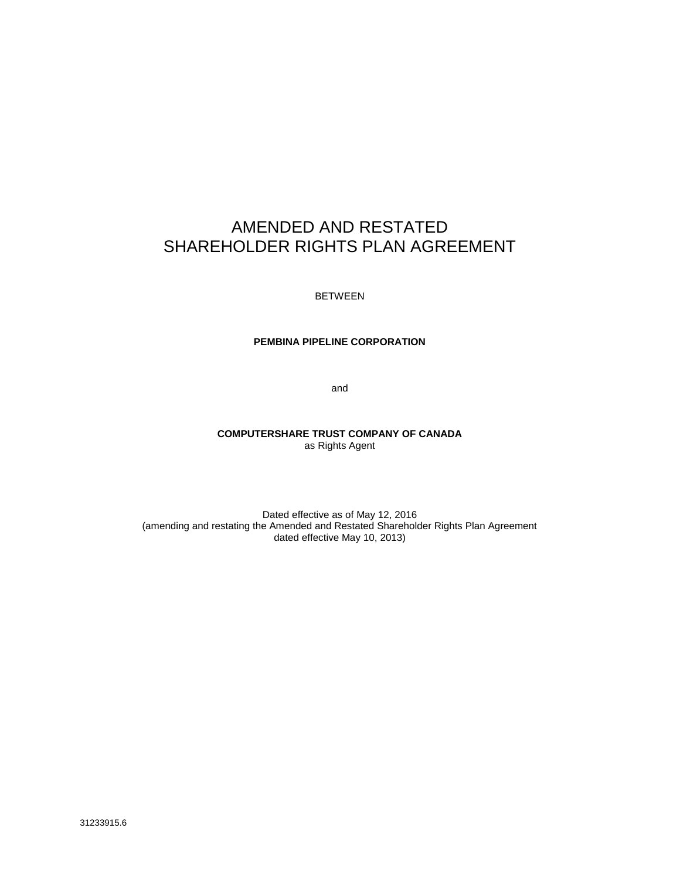# AMENDED AND RESTATED SHAREHOLDER RIGHTS PLAN AGREEMENT

BETWEEN

#### **PEMBINA PIPELINE CORPORATION**

and

#### **COMPUTERSHARE TRUST COMPANY OF CANADA** as Rights Agent

Dated effective as of May 12, 2016 (amending and restating the Amended and Restated Shareholder Rights Plan Agreement dated effective May 10, 2013)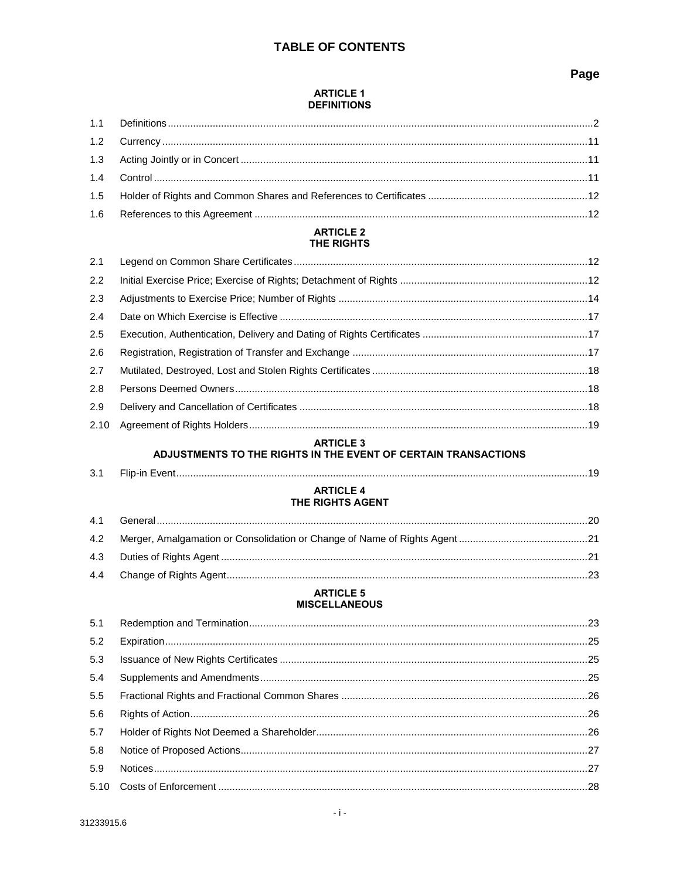# **TABLE OF CONTENTS**

## Page

#### **ARTICLE 1 DEFINITIONS**

#### **ARTICLE 2** THE RIGHTS

| 2.1  |  |
|------|--|
| 2.2  |  |
| 2.3  |  |
| 2.4  |  |
| 2.5  |  |
| 2.6  |  |
| 2.7  |  |
| 2.8  |  |
| 2.9  |  |
| 2.10 |  |
|      |  |

# ARTICLE 3<br>ADJUSTMENTS TO THE RIGHTS IN THE EVENT OF CERTAIN TRANSACTIONS

| $\Omega$<br>- 3. T |  |  |
|--------------------|--|--|
|--------------------|--|--|

#### **ARTICLE 4** THE RIGHTS AGENT

#### **ARTICLE 5 MISCELLANEOUS**

| 5.2 |  |
|-----|--|
| 5.3 |  |
| 5.4 |  |
| 5.5 |  |
| 5.6 |  |
| 5.7 |  |
| 5.8 |  |
| 5.9 |  |
|     |  |
|     |  |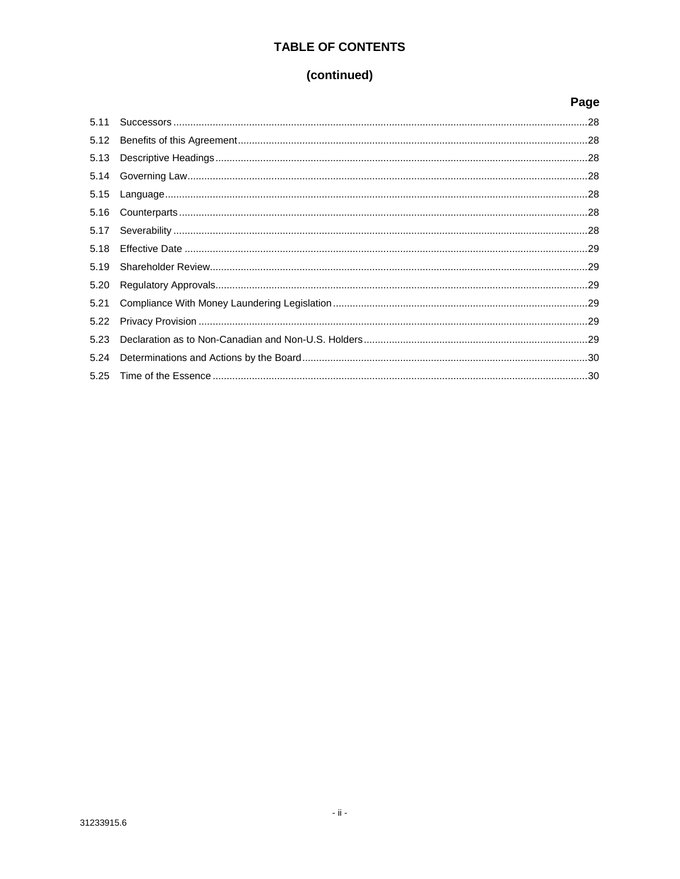# **TABLE OF CONTENTS**

# (continued)

|      | Page |
|------|------|
| 5.11 |      |
| 5.12 |      |
| 5.13 |      |
| 5.14 |      |
| 5.15 |      |
| 5.16 |      |
| 5.17 |      |
| 5.18 |      |
| 5.19 |      |
| 5.20 |      |
| 5.21 |      |
| 5.22 |      |
| 5.23 |      |
| 5.24 |      |
| 5.25 |      |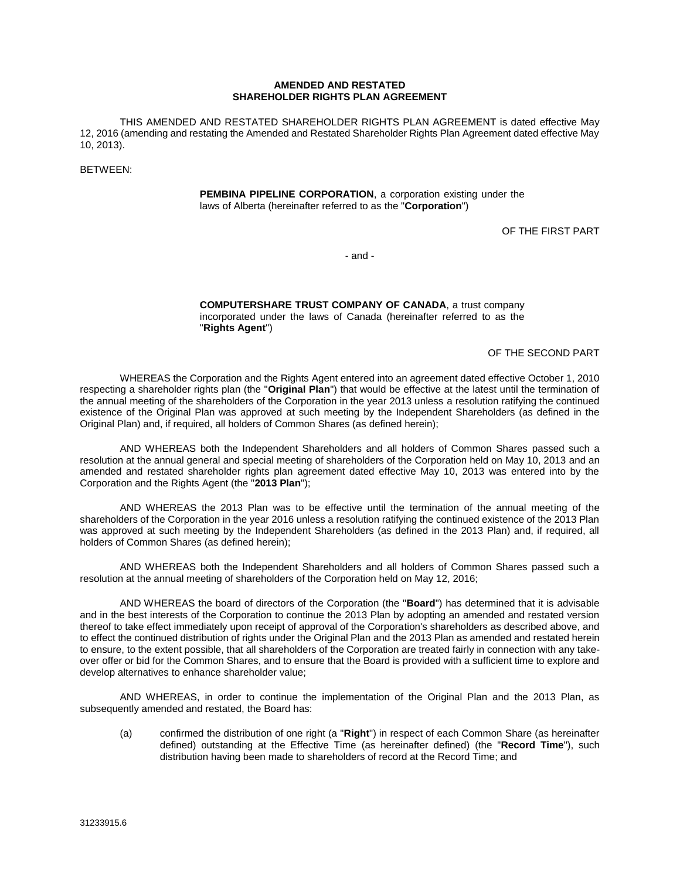#### **AMENDED AND RESTATED SHAREHOLDER RIGHTS PLAN AGREEMENT**

THIS AMENDED AND RESTATED SHAREHOLDER RIGHTS PLAN AGREEMENT is dated effective May 12, 2016 (amending and restating the Amended and Restated Shareholder Rights Plan Agreement dated effective May 10, 2013).

BETWEEN:

**PEMBINA PIPELINE CORPORATION**, a corporation existing under the laws of Alberta (hereinafter referred to as the "**Corporation**")

OF THE FIRST PART

- and -

**COMPUTERSHARE TRUST COMPANY OF CANADA**, a trust company incorporated under the laws of Canada (hereinafter referred to as the "**Rights Agent**")

OF THE SECOND PART

WHEREAS the Corporation and the Rights Agent entered into an agreement dated effective October 1, 2010 respecting a shareholder rights plan (the "**Original Plan**") that would be effective at the latest until the termination of the annual meeting of the shareholders of the Corporation in the year 2013 unless a resolution ratifying the continued existence of the Original Plan was approved at such meeting by the Independent Shareholders (as defined in the Original Plan) and, if required, all holders of Common Shares (as defined herein);

AND WHEREAS both the Independent Shareholders and all holders of Common Shares passed such a resolution at the annual general and special meeting of shareholders of the Corporation held on May 10, 2013 and an amended and restated shareholder rights plan agreement dated effective May 10, 2013 was entered into by the Corporation and the Rights Agent (the "**2013 Plan**");

AND WHEREAS the 2013 Plan was to be effective until the termination of the annual meeting of the shareholders of the Corporation in the year 2016 unless a resolution ratifying the continued existence of the 2013 Plan was approved at such meeting by the Independent Shareholders (as defined in the 2013 Plan) and, if required, all holders of Common Shares (as defined herein);

AND WHEREAS both the Independent Shareholders and all holders of Common Shares passed such a resolution at the annual meeting of shareholders of the Corporation held on May 12, 2016;

AND WHEREAS the board of directors of the Corporation (the "**Board**") has determined that it is advisable and in the best interests of the Corporation to continue the 2013 Plan by adopting an amended and restated version thereof to take effect immediately upon receipt of approval of the Corporation's shareholders as described above, and to effect the continued distribution of rights under the Original Plan and the 2013 Plan as amended and restated herein to ensure, to the extent possible, that all shareholders of the Corporation are treated fairly in connection with any takeover offer or bid for the Common Shares, and to ensure that the Board is provided with a sufficient time to explore and develop alternatives to enhance shareholder value;

AND WHEREAS, in order to continue the implementation of the Original Plan and the 2013 Plan, as subsequently amended and restated, the Board has:

(a) confirmed the distribution of one right (a "**Right**") in respect of each Common Share (as hereinafter defined) outstanding at the Effective Time (as hereinafter defined) (the "**Record Time**"), such distribution having been made to shareholders of record at the Record Time; and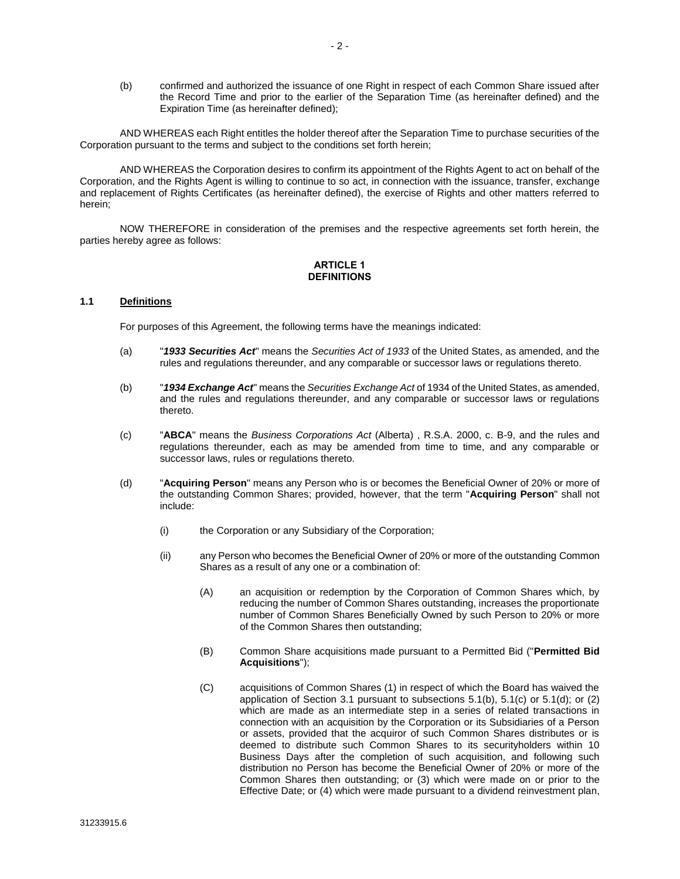(b) confirmed and authorized the issuance of one Right in respect of each Common Share issued after the Record Time and prior to the earlier of the Separation Time (as hereinafter defined) and the Expiration Time (as hereinafter defined);

AND WHEREAS each Right entitles the holder thereof after the Separation Time to purchase securities of the Corporation pursuant to the terms and subject to the conditions set forth herein;

AND WHEREAS the Corporation desires to confirm its appointment of the Rights Agent to act on behalf of the Corporation, and the Rights Agent is willing to continue to so act, in connection with the issuance, transfer, exchange and replacement of Rights Certificates (as hereinafter defined), the exercise of Rights and other matters referred to herein;

NOW THEREFORE in consideration of the premises and the respective agreements set forth herein, the parties hereby agree as follows:

#### **ARTICLE 1 DEFINITIONS**

#### **1.1 Definitions**

For purposes of this Agreement, the following terms have the meanings indicated:

- (a) "*1933 Securities Act*" means the *Securities Act of 1933* of the United States, as amended, and the rules and regulations thereunder, and any comparable or successor laws or regulations thereto.
- (b) "*1934 Exchange Act*" means the *Securities Exchange Act* of 1934 of the United States, as amended, and the rules and regulations thereunder, and any comparable or successor laws or regulations thereto.
- (c) "**ABCA**" means the *Business Corporations Act* (Alberta) , R.S.A. 2000, c. B-9, and the rules and regulations thereunder, each as may be amended from time to time, and any comparable or successor laws, rules or regulations thereto.
- (d) "**Acquiring Person**" means any Person who is or becomes the Beneficial Owner of 20% or more of the outstanding Common Shares; provided, however, that the term "**Acquiring Person**" shall not include:
	- (i) the Corporation or any Subsidiary of the Corporation;
	- (ii) any Person who becomes the Beneficial Owner of 20% or more of the outstanding Common Shares as a result of any one or a combination of:
		- (A) an acquisition or redemption by the Corporation of Common Shares which, by reducing the number of Common Shares outstanding, increases the proportionate number of Common Shares Beneficially Owned by such Person to 20% or more of the Common Shares then outstanding;
		- (B) Common Share acquisitions made pursuant to a Permitted Bid ("**Permitted Bid Acquisitions**");
		- (C) acquisitions of Common Shares (1) in respect of which the Board has waived the application of Section [3.1](#page-21-0) pursuant to subsections [5.1\(b\),](#page-25-0) [5.1\(c\)](#page-25-1) or [5.1\(d\);](#page-26-0) or (2) which are made as an intermediate step in a series of related transactions in connection with an acquisition by the Corporation or its Subsidiaries of a Person or assets, provided that the acquiror of such Common Shares distributes or is deemed to distribute such Common Shares to its securityholders within 10 Business Days after the completion of such acquisition, and following such distribution no Person has become the Beneficial Owner of 20% or more of the Common Shares then outstanding; or (3) which were made on or prior to the Effective Date; or (4) which were made pursuant to a dividend reinvestment plan,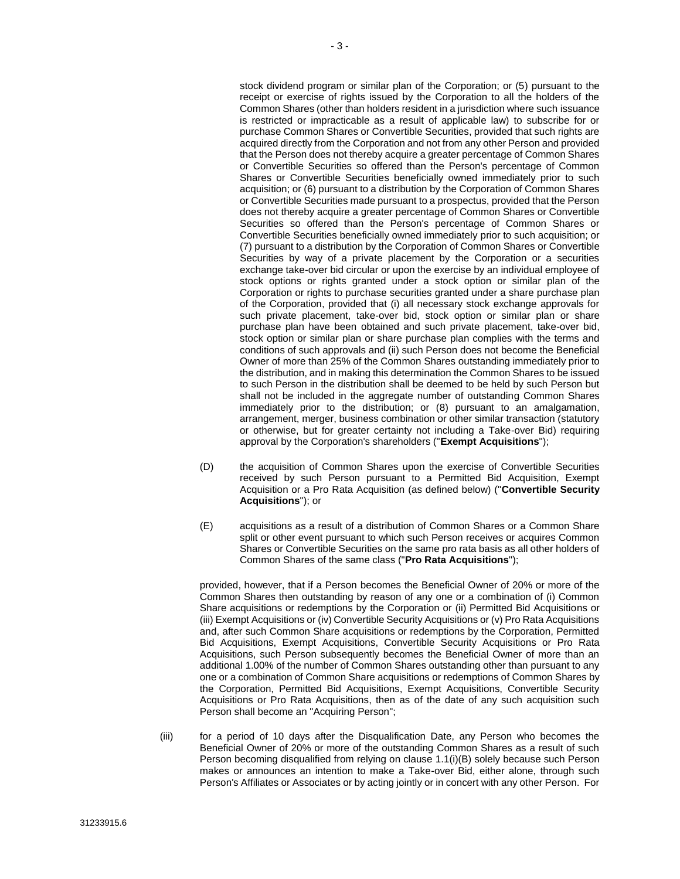stock dividend program or similar plan of the Corporation; or (5) pursuant to the receipt or exercise of rights issued by the Corporation to all the holders of the Common Shares (other than holders resident in a jurisdiction where such issuance is restricted or impracticable as a result of applicable law) to subscribe for or purchase Common Shares or Convertible Securities, provided that such rights are acquired directly from the Corporation and not from any other Person and provided that the Person does not thereby acquire a greater percentage of Common Shares or Convertible Securities so offered than the Person's percentage of Common Shares or Convertible Securities beneficially owned immediately prior to such acquisition; or (6) pursuant to a distribution by the Corporation of Common Shares or Convertible Securities made pursuant to a prospectus, provided that the Person does not thereby acquire a greater percentage of Common Shares or Convertible Securities so offered than the Person's percentage of Common Shares or Convertible Securities beneficially owned immediately prior to such acquisition; or (7) pursuant to a distribution by the Corporation of Common Shares or Convertible Securities by way of a private placement by the Corporation or a securities exchange take-over bid circular or upon the exercise by an individual employee of stock options or rights granted under a stock option or similar plan of the Corporation or rights to purchase securities granted under a share purchase plan of the Corporation, provided that (i) all necessary stock exchange approvals for such private placement, take-over bid, stock option or similar plan or share purchase plan have been obtained and such private placement, take-over bid, stock option or similar plan or share purchase plan complies with the terms and conditions of such approvals and (ii) such Person does not become the Beneficial Owner of more than 25% of the Common Shares outstanding immediately prior to the distribution, and in making this determination the Common Shares to be issued to such Person in the distribution shall be deemed to be held by such Person but shall not be included in the aggregate number of outstanding Common Shares immediately prior to the distribution; or (8) pursuant to an amalgamation, arrangement, merger, business combination or other similar transaction (statutory or otherwise, but for greater certainty not including a Take-over Bid) requiring approval by the Corporation's shareholders ("**Exempt Acquisitions**");

- (D) the acquisition of Common Shares upon the exercise of Convertible Securities received by such Person pursuant to a Permitted Bid Acquisition, Exempt Acquisition or a Pro Rata Acquisition (as defined below) ("**Convertible Security Acquisitions**"); or
- (E) acquisitions as a result of a distribution of Common Shares or a Common Share split or other event pursuant to which such Person receives or acquires Common Shares or Convertible Securities on the same pro rata basis as all other holders of Common Shares of the same class ("**Pro Rata Acquisitions**");

provided, however, that if a Person becomes the Beneficial Owner of 20% or more of the Common Shares then outstanding by reason of any one or a combination of (i) Common Share acquisitions or redemptions by the Corporation or (ii) Permitted Bid Acquisitions or (iii) Exempt Acquisitions or (iv) Convertible Security Acquisitions or (v) Pro Rata Acquisitions and, after such Common Share acquisitions or redemptions by the Corporation, Permitted Bid Acquisitions, Exempt Acquisitions, Convertible Security Acquisitions or Pro Rata Acquisitions, such Person subsequently becomes the Beneficial Owner of more than an additional 1.00% of the number of Common Shares outstanding other than pursuant to any one or a combination of Common Share acquisitions or redemptions of Common Shares by the Corporation, Permitted Bid Acquisitions, Exempt Acquisitions, Convertible Security Acquisitions or Pro Rata Acquisitions, then as of the date of any such acquisition such Person shall become an "Acquiring Person";

(iii) for a period of 10 days after the Disqualification Date, any Person who becomes the Beneficial Owner of 20% or more of the outstanding Common Shares as a result of such Person becoming disqualified from relying on clause [1.1\(i\)\(B\)](#page-6-0) solely because such Person makes or announces an intention to make a Take-over Bid, either alone, through such Person's Affiliates or Associates or by acting jointly or in concert with any other Person. For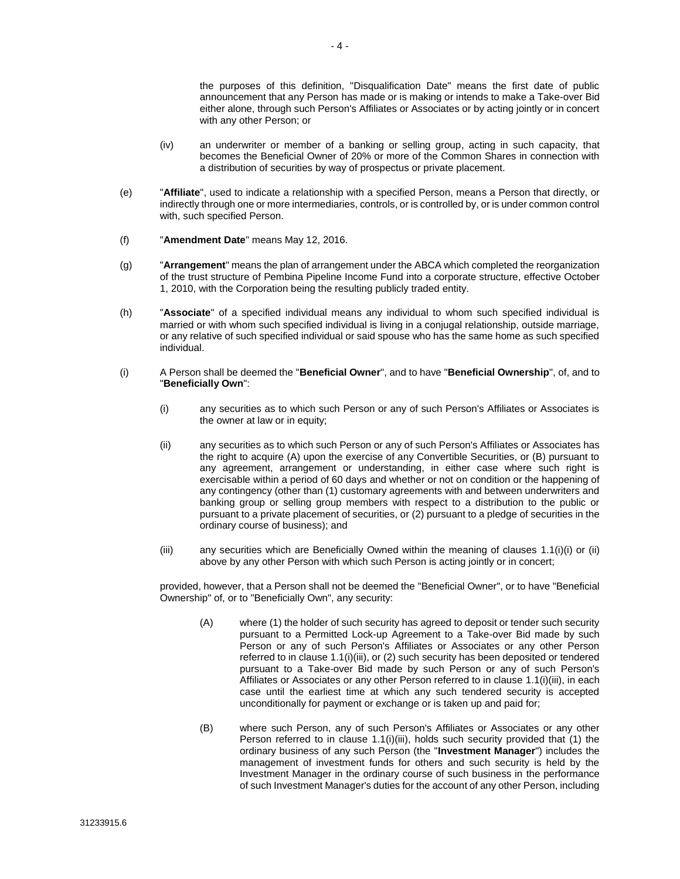the purposes of this definition, "Disqualification Date" means the first date of public announcement that any Person has made or is making or intends to make a Take-over Bid either alone, through such Person's Affiliates or Associates or by acting jointly or in concert with any other Person; or

- (iv) an underwriter or member of a banking or selling group, acting in such capacity, that becomes the Beneficial Owner of 20% or more of the Common Shares in connection with a distribution of securities by way of prospectus or private placement.
- (e) "**Affiliate**", used to indicate a relationship with a specified Person, means a Person that directly, or indirectly through one or more intermediaries, controls, or is controlled by, or is under common control with, such specified Person.
- (f) "**Amendment Date**" means May 12, 2016.
- (g) "**Arrangement**" means the plan of arrangement under the ABCA which completed the reorganization of the trust structure of Pembina Pipeline Income Fund into a corporate structure, effective October 1, 2010, with the Corporation being the resulting publicly traded entity.
- (h) "**Associate**" of a specified individual means any individual to whom such specified individual is married or with whom such specified individual is living in a conjugal relationship, outside marriage, or any relative of such specified individual or said spouse who has the same home as such specified individual.
- <span id="page-6-2"></span><span id="page-6-1"></span><span id="page-6-0"></span>(i) A Person shall be deemed the "**Beneficial Owner**", and to have "**Beneficial Ownership**", of, and to "**Beneficially Own**":
	- (i) any securities as to which such Person or any of such Person's Affiliates or Associates is the owner at law or in equity;
	- (ii) any securities as to which such Person or any of such Person's Affiliates or Associates has the right to acquire (A) upon the exercise of any Convertible Securities, or (B) pursuant to any agreement, arrangement or understanding, in either case where such right is exercisable within a period of 60 days and whether or not on condition or the happening of any contingency (other than (1) customary agreements with and between underwriters and banking group or selling group members with respect to a distribution to the public or pursuant to a private placement of securities, or (2) pursuant to a pledge of securities in the ordinary course of business); and
	- (iii) any securities which are Beneficially Owned within the meaning of clauses [1.1\(i\)\(i\)](#page-6-1) or [\(ii\)](#page-6-2) above by any other Person with which such Person is acting jointly or in concert;

<span id="page-6-3"></span>provided, however, that a Person shall not be deemed the "Beneficial Owner", or to have "Beneficial Ownership" of, or to "Beneficially Own", any security:

- (A) where (1) the holder of such security has agreed to deposit or tender such security pursuant to a Permitted Lock-up Agreement to a Take-over Bid made by such Person or any of such Person's Affiliates or Associates or any other Person referred to in claus[e 1.1\(i\)\(iii\),](#page-6-3) or (2) such security has been deposited or tendered pursuant to a Take-over Bid made by such Person or any of such Person's Affiliates or Associates or any other Person referred to in clause [1.1\(i\)\(iii\),](#page-6-3) in each case until the earliest time at which any such tendered security is accepted unconditionally for payment or exchange or is taken up and paid for;
- (B) where such Person, any of such Person's Affiliates or Associates or any other Person referred to in clause [1.1\(i\)\(iii\),](#page-6-3) holds such security provided that (1) the ordinary business of any such Person (the "**Investment Manager**") includes the management of investment funds for others and such security is held by the Investment Manager in the ordinary course of such business in the performance of such Investment Manager's duties for the account of any other Person, including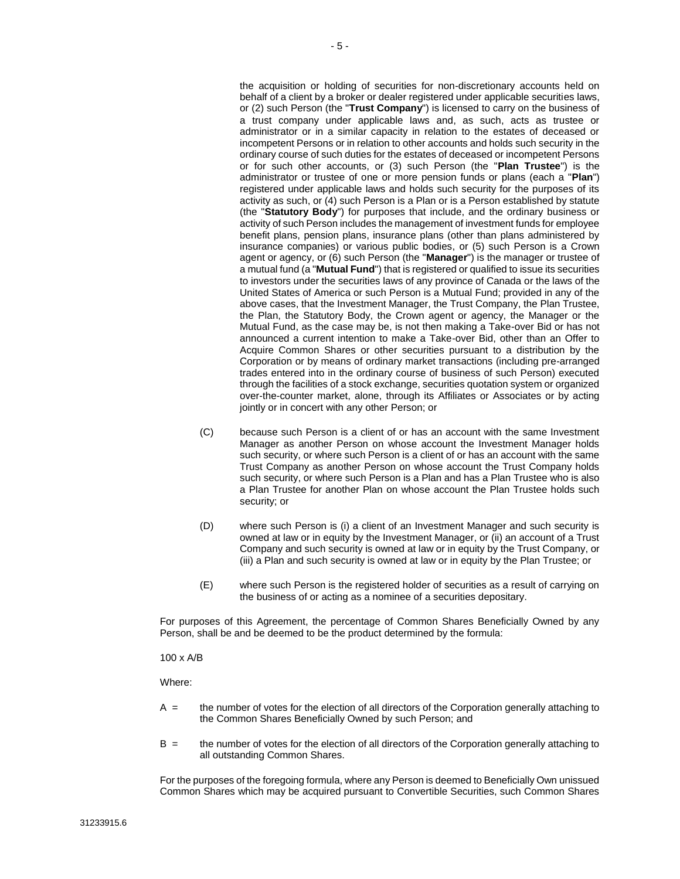the acquisition or holding of securities for non-discretionary accounts held on behalf of a client by a broker or dealer registered under applicable securities laws, or (2) such Person (the "**Trust Company**") is licensed to carry on the business of a trust company under applicable laws and, as such, acts as trustee or administrator or in a similar capacity in relation to the estates of deceased or incompetent Persons or in relation to other accounts and holds such security in the ordinary course of such duties for the estates of deceased or incompetent Persons or for such other accounts, or (3) such Person (the "**Plan Trustee**") is the administrator or trustee of one or more pension funds or plans (each a "**Plan**") registered under applicable laws and holds such security for the purposes of its activity as such, or (4) such Person is a Plan or is a Person established by statute (the "**Statutory Body**") for purposes that include, and the ordinary business or activity of such Person includes the management of investment funds for employee benefit plans, pension plans, insurance plans (other than plans administered by insurance companies) or various public bodies, or (5) such Person is a Crown agent or agency, or (6) such Person (the "**Manager**") is the manager or trustee of a mutual fund (a "**Mutual Fund**") that is registered or qualified to issue its securities to investors under the securities laws of any province of Canada or the laws of the United States of America or such Person is a Mutual Fund; provided in any of the above cases, that the Investment Manager, the Trust Company, the Plan Trustee, the Plan, the Statutory Body, the Crown agent or agency, the Manager or the Mutual Fund, as the case may be, is not then making a Take-over Bid or has not announced a current intention to make a Take-over Bid, other than an Offer to Acquire Common Shares or other securities pursuant to a distribution by the Corporation or by means of ordinary market transactions (including pre-arranged trades entered into in the ordinary course of business of such Person) executed through the facilities of a stock exchange, securities quotation system or organized over-the-counter market, alone, through its Affiliates or Associates or by acting jointly or in concert with any other Person; or

- (C) because such Person is a client of or has an account with the same Investment Manager as another Person on whose account the Investment Manager holds such security, or where such Person is a client of or has an account with the same Trust Company as another Person on whose account the Trust Company holds such security, or where such Person is a Plan and has a Plan Trustee who is also a Plan Trustee for another Plan on whose account the Plan Trustee holds such security; or
- (D) where such Person is (i) a client of an Investment Manager and such security is owned at law or in equity by the Investment Manager, or (ii) an account of a Trust Company and such security is owned at law or in equity by the Trust Company, or (iii) a Plan and such security is owned at law or in equity by the Plan Trustee; or
- (E) where such Person is the registered holder of securities as a result of carrying on the business of or acting as a nominee of a securities depositary.

For purposes of this Agreement, the percentage of Common Shares Beneficially Owned by any Person, shall be and be deemed to be the product determined by the formula:

100 x A/B

Where:

- A = the number of votes for the election of all directors of the Corporation generally attaching to the Common Shares Beneficially Owned by such Person; and
- B = the number of votes for the election of all directors of the Corporation generally attaching to all outstanding Common Shares.

For the purposes of the foregoing formula, where any Person is deemed to Beneficially Own unissued Common Shares which may be acquired pursuant to Convertible Securities, such Common Shares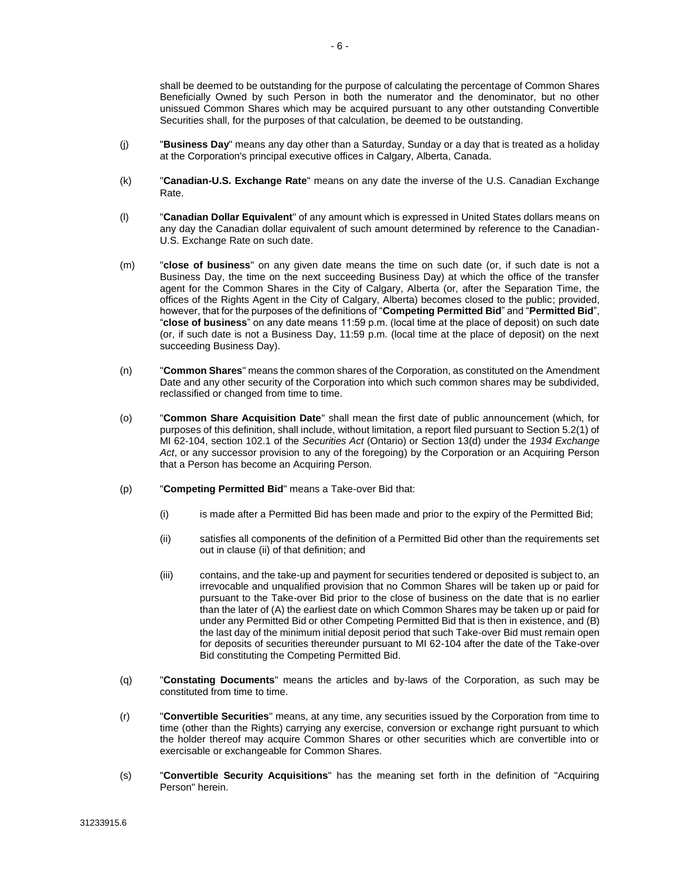shall be deemed to be outstanding for the purpose of calculating the percentage of Common Shares Beneficially Owned by such Person in both the numerator and the denominator, but no other unissued Common Shares which may be acquired pursuant to any other outstanding Convertible Securities shall, for the purposes of that calculation, be deemed to be outstanding.

- (j) "**Business Day**" means any day other than a Saturday, Sunday or a day that is treated as a holiday at the Corporation's principal executive offices in Calgary, Alberta, Canada.
- (k) "**Canadian-U.S. Exchange Rate**" means on any date the inverse of the U.S. Canadian Exchange Rate.
- (l) "**Canadian Dollar Equivalent**" of any amount which is expressed in United States dollars means on any day the Canadian dollar equivalent of such amount determined by reference to the Canadian-U.S. Exchange Rate on such date.
- (m) "**close of business**" on any given date means the time on such date (or, if such date is not a Business Day, the time on the next succeeding Business Day) at which the office of the transfer agent for the Common Shares in the City of Calgary, Alberta (or, after the Separation Time, the offices of the Rights Agent in the City of Calgary, Alberta) becomes closed to the public; provided, however, that for the purposes of the definitions of "**Competing Permitted Bid**" and "**Permitted Bid**", "**close of business**" on any date means 11:59 p.m. (local time at the place of deposit) on such date (or, if such date is not a Business Day, 11:59 p.m. (local time at the place of deposit) on the next succeeding Business Day).
- (n) "**Common Shares**" means the common shares of the Corporation, as constituted on the Amendment Date and any other security of the Corporation into which such common shares may be subdivided, reclassified or changed from time to time.
- (o) "**Common Share Acquisition Date**" shall mean the first date of public announcement (which, for purposes of this definition, shall include, without limitation, a report filed pursuant to Section 5.2(1) of MI 62-104, section 102.1 of the *Securities Act* (Ontario) or Section 13(d) under the *1934 Exchange Act*, or any successor provision to any of the foregoing) by the Corporation or an Acquiring Person that a Person has become an Acquiring Person.
- (p) "**Competing Permitted Bid**" means a Take-over Bid that:
	- (i) is made after a Permitted Bid has been made and prior to the expiry of the Permitted Bid;
	- (ii) satisfies all components of the definition of a Permitted Bid other than the requirements set out in clause [\(ii\)](#page-11-0) of that definition; and
	- (iii) contains, and the take-up and payment for securities tendered or deposited is subject to, an irrevocable and unqualified provision that no Common Shares will be taken up or paid for pursuant to the Take-over Bid prior to the close of business on the date that is no earlier than the later of (A) the earliest date on which Common Shares may be taken up or paid for under any Permitted Bid or other Competing Permitted Bid that is then in existence, and (B) the last day of the minimum initial deposit period that such Take-over Bid must remain open for deposits of securities thereunder pursuant to MI 62-104 after the date of the Take-over Bid constituting the Competing Permitted Bid.
- (q) "**Constating Documents**" means the articles and by-laws of the Corporation, as such may be constituted from time to time.
- (r) "**Convertible Securities**" means, at any time, any securities issued by the Corporation from time to time (other than the Rights) carrying any exercise, conversion or exchange right pursuant to which the holder thereof may acquire Common Shares or other securities which are convertible into or exercisable or exchangeable for Common Shares.
- (s) "**Convertible Security Acquisitions**" has the meaning set forth in the definition of "Acquiring Person" herein.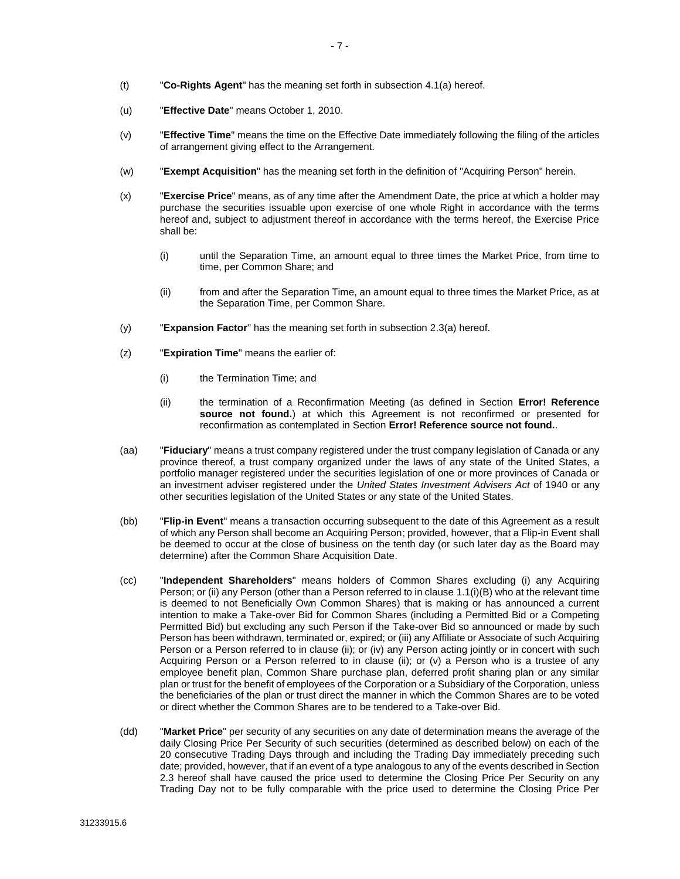- (t) "**Co-Rights Agent**" has the meaning set forth in subsection [4.1\(a\)](#page-22-0) hereof.
- (u) "**Effective Date**" means October 1, 2010.
- (v) "**Effective Time**" means the time on the Effective Date immediately following the filing of the articles of arrangement giving effect to the Arrangement.
- (w) "**Exempt Acquisition**" has the meaning set forth in the definition of "Acquiring Person" herein.
- (x) "**Exercise Price**" means, as of any time after the Amendment Date, the price at which a holder may purchase the securities issuable upon exercise of one whole Right in accordance with the terms hereof and, subject to adjustment thereof in accordance with the terms hereof, the Exercise Price shall be:
	- (i) until the Separation Time, an amount equal to three times the Market Price, from time to time, per Common Share; and
	- (ii) from and after the Separation Time, an amount equal to three times the Market Price, as at the Separation Time, per Common Share.
- (y) "**Expansion Factor**" has the meaning set forth in subsection [2.3\(a\)](#page-16-0) hereof.
- (z) "**Expiration Time**" means the earlier of:
	- (i) the Termination Time; and
	- (ii) the termination of a Reconfirmation Meeting (as defined in Section **Error! Reference source not found.**) at which this Agreement is not reconfirmed or presented for reconfirmation as contemplated in Section **Error! Reference source not found.**.
- (aa) "**Fiduciary**" means a trust company registered under the trust company legislation of Canada or any province thereof, a trust company organized under the laws of any state of the United States, a portfolio manager registered under the securities legislation of one or more provinces of Canada or an investment adviser registered under the *United States Investment Advisers Act* of 1940 or any other securities legislation of the United States or any state of the United States.
- (bb) "**Flip-in Event**" means a transaction occurring subsequent to the date of this Agreement as a result of which any Person shall become an Acquiring Person; provided, however, that a Flip-in Event shall be deemed to occur at the close of business on the tenth day (or such later day as the Board may determine) after the Common Share Acquisition Date.
- (cc) "**Independent Shareholders**" means holders of Common Shares excluding (i) any Acquiring Person; or (ii) any Person (other than a Person referred to in clause [1.1\(i\)\(B\)](#page-6-0) who at the relevant time is deemed to not Beneficially Own Common Shares) that is making or has announced a current intention to make a Take-over Bid for Common Shares (including a Permitted Bid or a Competing Permitted Bid) but excluding any such Person if the Take-over Bid so announced or made by such Person has been withdrawn, terminated or, expired; or (iii) any Affiliate or Associate of such Acquiring Person or a Person referred to in clause (ii); or (iv) any Person acting jointly or in concert with such Acquiring Person or a Person referred to in clause (ii); or (v) a Person who is a trustee of any employee benefit plan, Common Share purchase plan, deferred profit sharing plan or any similar plan or trust for the benefit of employees of the Corporation or a Subsidiary of the Corporation, unless the beneficiaries of the plan or trust direct the manner in which the Common Shares are to be voted or direct whether the Common Shares are to be tendered to a Take-over Bid.
- (dd) "**Market Price**" per security of any securities on any date of determination means the average of the daily Closing Price Per Security of such securities (determined as described below) on each of the 20 consecutive Trading Days through and including the Trading Day immediately preceding such date; provided, however, that if an event of a type analogous to any of the events described in Section [2.3](#page-16-1) hereof shall have caused the price used to determine the Closing Price Per Security on any Trading Day not to be fully comparable with the price used to determine the Closing Price Per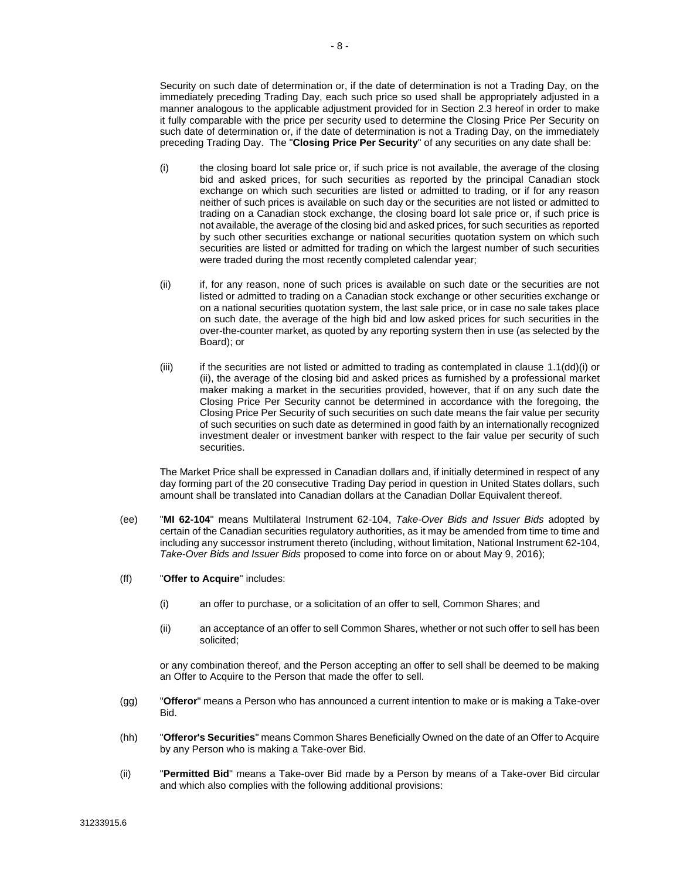Security on such date of determination or, if the date of determination is not a Trading Day, on the immediately preceding Trading Day, each such price so used shall be appropriately adjusted in a manner analogous to the applicable adjustment provided for in Section [2.3](#page-16-1) hereof in order to make it fully comparable with the price per security used to determine the Closing Price Per Security on such date of determination or, if the date of determination is not a Trading Day, on the immediately preceding Trading Day. The "**Closing Price Per Security**" of any securities on any date shall be:

- <span id="page-10-0"></span>(i) the closing board lot sale price or, if such price is not available, the average of the closing bid and asked prices, for such securities as reported by the principal Canadian stock exchange on which such securities are listed or admitted to trading, or if for any reason neither of such prices is available on such day or the securities are not listed or admitted to trading on a Canadian stock exchange, the closing board lot sale price or, if such price is not available, the average of the closing bid and asked prices, for such securities as reported by such other securities exchange or national securities quotation system on which such securities are listed or admitted for trading on which the largest number of such securities were traded during the most recently completed calendar year;
- <span id="page-10-1"></span>(ii) if, for any reason, none of such prices is available on such date or the securities are not listed or admitted to trading on a Canadian stock exchange or other securities exchange or on a national securities quotation system, the last sale price, or in case no sale takes place on such date, the average of the high bid and low asked prices for such securities in the over-the-counter market, as quoted by any reporting system then in use (as selected by the Board); or
- (iii) if the securities are not listed or admitted to trading as contemplated in clause [1.1\(dd\)\(i\)](#page-10-0) or [\(ii\),](#page-10-1) the average of the closing bid and asked prices as furnished by a professional market maker making a market in the securities provided, however, that if on any such date the Closing Price Per Security cannot be determined in accordance with the foregoing, the Closing Price Per Security of such securities on such date means the fair value per security of such securities on such date as determined in good faith by an internationally recognized investment dealer or investment banker with respect to the fair value per security of such securities.

The Market Price shall be expressed in Canadian dollars and, if initially determined in respect of any day forming part of the 20 consecutive Trading Day period in question in United States dollars, such amount shall be translated into Canadian dollars at the Canadian Dollar Equivalent thereof.

- (ee) "**MI 62-104**" means Multilateral Instrument 62-104, *Take-Over Bids and Issuer Bids* adopted by certain of the Canadian securities regulatory authorities, as it may be amended from time to time and including any successor instrument thereto (including, without limitation, National Instrument 62-104, *Take-Over Bids and Issuer Bids* proposed to come into force on or about May 9, 2016);
- (ff) "**Offer to Acquire**" includes:
	- (i) an offer to purchase, or a solicitation of an offer to sell, Common Shares; and
	- (ii) an acceptance of an offer to sell Common Shares, whether or not such offer to sell has been solicited;

or any combination thereof, and the Person accepting an offer to sell shall be deemed to be making an Offer to Acquire to the Person that made the offer to sell.

- (gg) "**Offeror**" means a Person who has announced a current intention to make or is making a Take-over Bid.
- (hh) "**Offeror's Securities**" means Common Shares Beneficially Owned on the date of an Offer to Acquire by any Person who is making a Take-over Bid.
- (ii) "**Permitted Bid**" means a Take-over Bid made by a Person by means of a Take-over Bid circular and which also complies with the following additional provisions: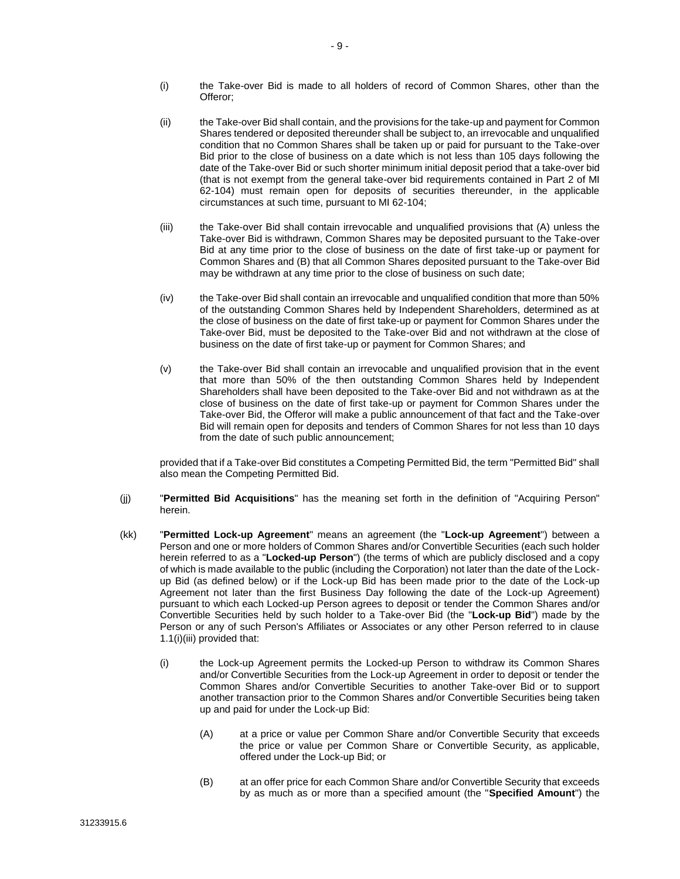- (i) the Take-over Bid is made to all holders of record of Common Shares, other than the Offeror;
- <span id="page-11-0"></span>(ii) the Take-over Bid shall contain, and the provisions for the take-up and payment for Common Shares tendered or deposited thereunder shall be subject to, an irrevocable and unqualified condition that no Common Shares shall be taken up or paid for pursuant to the Take-over Bid prior to the close of business on a date which is not less than 105 days following the date of the Take-over Bid or such shorter minimum initial deposit period that a take-over bid (that is not exempt from the general take-over bid requirements contained in Part 2 of MI 62-104) must remain open for deposits of securities thereunder, in the applicable circumstances at such time, pursuant to MI 62-104;
- (iii) the Take-over Bid shall contain irrevocable and unqualified provisions that (A) unless the Take-over Bid is withdrawn, Common Shares may be deposited pursuant to the Take-over Bid at any time prior to the close of business on the date of first take-up or payment for Common Shares and (B) that all Common Shares deposited pursuant to the Take-over Bid may be withdrawn at any time prior to the close of business on such date;
- (iv) the Take-over Bid shall contain an irrevocable and unqualified condition that more than 50% of the outstanding Common Shares held by Independent Shareholders, determined as at the close of business on the date of first take-up or payment for Common Shares under the Take-over Bid, must be deposited to the Take-over Bid and not withdrawn at the close of business on the date of first take-up or payment for Common Shares; and
- (v) the Take-over Bid shall contain an irrevocable and unqualified provision that in the event that more than 50% of the then outstanding Common Shares held by Independent Shareholders shall have been deposited to the Take-over Bid and not withdrawn as at the close of business on the date of first take-up or payment for Common Shares under the Take-over Bid, the Offeror will make a public announcement of that fact and the Take-over Bid will remain open for deposits and tenders of Common Shares for not less than 10 days from the date of such public announcement;

provided that if a Take-over Bid constitutes a Competing Permitted Bid, the term "Permitted Bid" shall also mean the Competing Permitted Bid.

- (jj) "**Permitted Bid Acquisitions**" has the meaning set forth in the definition of "Acquiring Person" herein.
- (kk) "**Permitted Lock-up Agreement**" means an agreement (the "**Lock-up Agreement**") between a Person and one or more holders of Common Shares and/or Convertible Securities (each such holder herein referred to as a "**Locked-up Person**") (the terms of which are publicly disclosed and a copy of which is made available to the public (including the Corporation) not later than the date of the Lockup Bid (as defined below) or if the Lock-up Bid has been made prior to the date of the Lock-up Agreement not later than the first Business Day following the date of the Lock-up Agreement) pursuant to which each Locked-up Person agrees to deposit or tender the Common Shares and/or Convertible Securities held by such holder to a Take-over Bid (the "**Lock-up Bid**") made by the Person or any of such Person's Affiliates or Associates or any other Person referred to in clause [1.1\(i\)\(iii\)](#page-6-3) provided that:
	- (i) the Lock-up Agreement permits the Locked-up Person to withdraw its Common Shares and/or Convertible Securities from the Lock-up Agreement in order to deposit or tender the Common Shares and/or Convertible Securities to another Take-over Bid or to support another transaction prior to the Common Shares and/or Convertible Securities being taken up and paid for under the Lock-up Bid:
		- (A) at a price or value per Common Share and/or Convertible Security that exceeds the price or value per Common Share or Convertible Security, as applicable, offered under the Lock-up Bid; or
		- (B) at an offer price for each Common Share and/or Convertible Security that exceeds by as much as or more than a specified amount (the "**Specified Amount**") the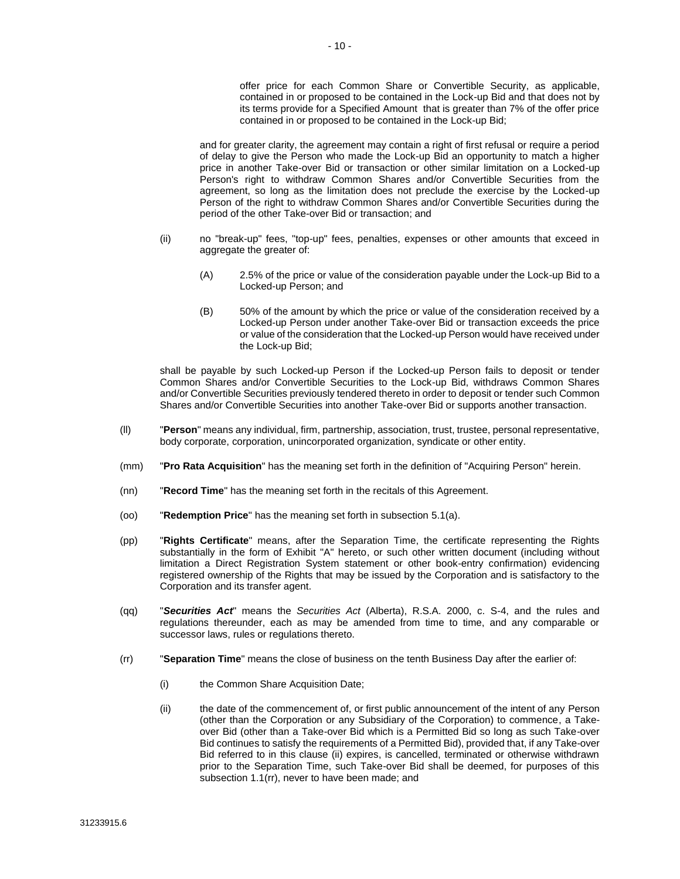offer price for each Common Share or Convertible Security, as applicable, contained in or proposed to be contained in the Lock-up Bid and that does not by its terms provide for a Specified Amount that is greater than 7% of the offer price contained in or proposed to be contained in the Lock-up Bid;

and for greater clarity, the agreement may contain a right of first refusal or require a period of delay to give the Person who made the Lock-up Bid an opportunity to match a higher price in another Take-over Bid or transaction or other similar limitation on a Locked-up Person's right to withdraw Common Shares and/or Convertible Securities from the agreement, so long as the limitation does not preclude the exercise by the Locked-up Person of the right to withdraw Common Shares and/or Convertible Securities during the period of the other Take-over Bid or transaction; and

- (ii) no "break-up" fees, "top-up" fees, penalties, expenses or other amounts that exceed in aggregate the greater of:
	- (A) 2.5% of the price or value of the consideration payable under the Lock-up Bid to a Locked-up Person; and
	- (B) 50% of the amount by which the price or value of the consideration received by a Locked-up Person under another Take-over Bid or transaction exceeds the price or value of the consideration that the Locked-up Person would have received under the Lock-up Bid;

shall be payable by such Locked-up Person if the Locked-up Person fails to deposit or tender Common Shares and/or Convertible Securities to the Lock-up Bid, withdraws Common Shares and/or Convertible Securities previously tendered thereto in order to deposit or tender such Common Shares and/or Convertible Securities into another Take-over Bid or supports another transaction.

- (ll) "**Person**" means any individual, firm, partnership, association, trust, trustee, personal representative, body corporate, corporation, unincorporated organization, syndicate or other entity.
- (mm) "**Pro Rata Acquisition**" has the meaning set forth in the definition of "Acquiring Person" herein.
- (nn) "**Record Time**" has the meaning set forth in the recitals of this Agreement.
- (oo) "**Redemption Price**" has the meaning set forth in subsection [5.1\(a\).](#page-25-2)
- (pp) "**Rights Certificate**" means, after the Separation Time, the certificate representing the Rights substantially in the form of Exhibit "A" hereto, or such other written document (including without limitation a Direct Registration System statement or other book-entry confirmation) evidencing registered ownership of the Rights that may be issued by the Corporation and is satisfactory to the Corporation and its transfer agent.
- (qq) "*Securities Act*" means the *Securities Act* (Alberta), R.S.A. 2000, c. S-4, and the rules and regulations thereunder, each as may be amended from time to time, and any comparable or successor laws, rules or regulations thereto.
- <span id="page-12-0"></span>(rr) "**Separation Time**" means the close of business on the tenth Business Day after the earlier of:
	- (i) the Common Share Acquisition Date;
	- (ii) the date of the commencement of, or first public announcement of the intent of any Person (other than the Corporation or any Subsidiary of the Corporation) to commence, a Takeover Bid (other than a Take-over Bid which is a Permitted Bid so long as such Take-over Bid continues to satisfy the requirements of a Permitted Bid), provided that, if any Take-over Bid referred to in this clause (ii) expires, is cancelled, terminated or otherwise withdrawn prior to the Separation Time, such Take-over Bid shall be deemed, for purposes of this subsectio[n 1.1\(rr\),](#page-12-0) never to have been made; and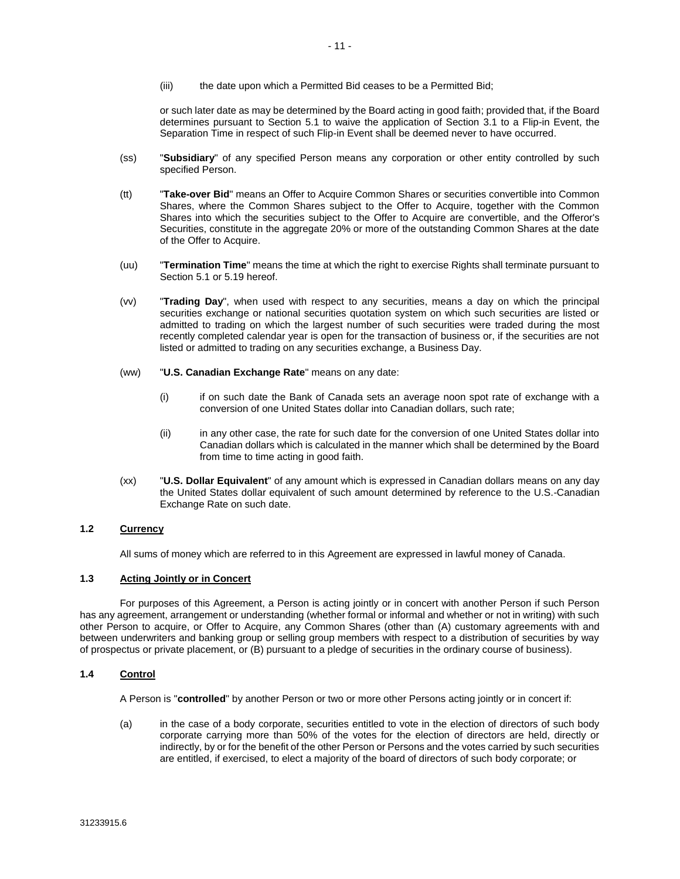(iii) the date upon which a Permitted Bid ceases to be a Permitted Bid;

or such later date as may be determined by the Board acting in good faith; provided that, if the Board determines pursuant to Section [5.1](#page-25-3) to waive the application of Section [3.1](#page-21-0) to a Flip-in Event, the Separation Time in respect of such Flip-in Event shall be deemed never to have occurred.

- (ss) "**Subsidiary**" of any specified Person means any corporation or other entity controlled by such specified Person.
- (tt) "**Take-over Bid**" means an Offer to Acquire Common Shares or securities convertible into Common Shares, where the Common Shares subject to the Offer to Acquire, together with the Common Shares into which the securities subject to the Offer to Acquire are convertible, and the Offeror's Securities, constitute in the aggregate 20% or more of the outstanding Common Shares at the date of the Offer to Acquire.
- (uu) "**Termination Time**" means the time at which the right to exercise Rights shall terminate pursuant to Sectio[n 5.1](#page-25-3) or [5.19](#page-31-0) hereof.
- (vv) "**Trading Day**", when used with respect to any securities, means a day on which the principal securities exchange or national securities quotation system on which such securities are listed or admitted to trading on which the largest number of such securities were traded during the most recently completed calendar year is open for the transaction of business or, if the securities are not listed or admitted to trading on any securities exchange, a Business Day.
- (ww) "**U.S. Canadian Exchange Rate**" means on any date:
	- (i) if on such date the Bank of Canada sets an average noon spot rate of exchange with a conversion of one United States dollar into Canadian dollars, such rate;
	- (ii) in any other case, the rate for such date for the conversion of one United States dollar into Canadian dollars which is calculated in the manner which shall be determined by the Board from time to time acting in good faith.
- (xx) "**U.S. Dollar Equivalent**" of any amount which is expressed in Canadian dollars means on any day the United States dollar equivalent of such amount determined by reference to the U.S.-Canadian Exchange Rate on such date.

#### **1.2 Currency**

All sums of money which are referred to in this Agreement are expressed in lawful money of Canada.

#### **1.3 Acting Jointly or in Concert**

For purposes of this Agreement, a Person is acting jointly or in concert with another Person if such Person has any agreement, arrangement or understanding (whether formal or informal and whether or not in writing) with such other Person to acquire, or Offer to Acquire, any Common Shares (other than (A) customary agreements with and between underwriters and banking group or selling group members with respect to a distribution of securities by way of prospectus or private placement, or (B) pursuant to a pledge of securities in the ordinary course of business).

#### **1.4 Control**

A Person is "**controlled**" by another Person or two or more other Persons acting jointly or in concert if:

(a) in the case of a body corporate, securities entitled to vote in the election of directors of such body corporate carrying more than 50% of the votes for the election of directors are held, directly or indirectly, by or for the benefit of the other Person or Persons and the votes carried by such securities are entitled, if exercised, to elect a majority of the board of directors of such body corporate; or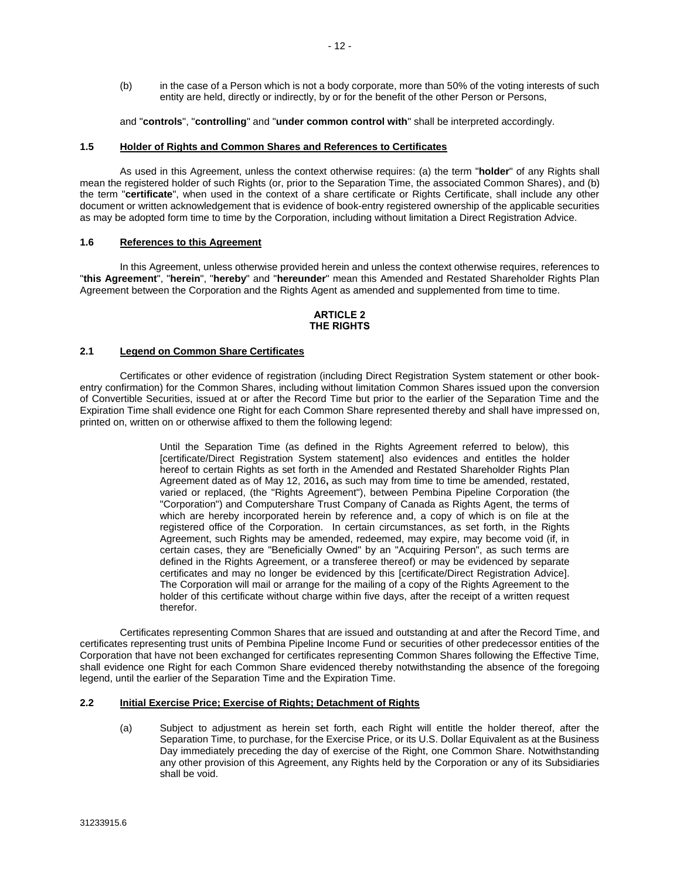(b) in the case of a Person which is not a body corporate, more than 50% of the voting interests of such entity are held, directly or indirectly, by or for the benefit of the other Person or Persons,

and "**controls**", "**controlling**" and "**under common control with**" shall be interpreted accordingly.

#### **1.5 Holder of Rights and Common Shares and References to Certificates**

As used in this Agreement, unless the context otherwise requires: (a) the term "**holder**" of any Rights shall mean the registered holder of such Rights (or, prior to the Separation Time, the associated Common Shares), and (b) the term "**certificate**", when used in the context of a share certificate or Rights Certificate, shall include any other document or written acknowledgement that is evidence of book-entry registered ownership of the applicable securities as may be adopted form time to time by the Corporation, including without limitation a Direct Registration Advice.

#### **1.6 References to this Agreement**

In this Agreement, unless otherwise provided herein and unless the context otherwise requires, references to "**this Agreement**", "**herein**", "**hereby**" and "**hereunder**" mean this Amended and Restated Shareholder Rights Plan Agreement between the Corporation and the Rights Agent as amended and supplemented from time to time.

#### **ARTICLE 2 THE RIGHTS**

#### **2.1 Legend on Common Share Certificates**

Certificates or other evidence of registration (including Direct Registration System statement or other bookentry confirmation) for the Common Shares, including without limitation Common Shares issued upon the conversion of Convertible Securities, issued at or after the Record Time but prior to the earlier of the Separation Time and the Expiration Time shall evidence one Right for each Common Share represented thereby and shall have impressed on, printed on, written on or otherwise affixed to them the following legend:

> Until the Separation Time (as defined in the Rights Agreement referred to below), this [certificate/Direct Registration System statement] also evidences and entitles the holder hereof to certain Rights as set forth in the Amended and Restated Shareholder Rights Plan Agreement dated as of May 12, 2016**,** as such may from time to time be amended, restated, varied or replaced, (the "Rights Agreement"), between Pembina Pipeline Corporation (the "Corporation") and Computershare Trust Company of Canada as Rights Agent, the terms of which are hereby incorporated herein by reference and, a copy of which is on file at the registered office of the Corporation. In certain circumstances, as set forth, in the Rights Agreement, such Rights may be amended, redeemed, may expire, may become void (if, in certain cases, they are "Beneficially Owned" by an "Acquiring Person", as such terms are defined in the Rights Agreement, or a transferee thereof) or may be evidenced by separate certificates and may no longer be evidenced by this [certificate/Direct Registration Advice]. The Corporation will mail or arrange for the mailing of a copy of the Rights Agreement to the holder of this certificate without charge within five days, after the receipt of a written request therefor.

Certificates representing Common Shares that are issued and outstanding at and after the Record Time, and certificates representing trust units of Pembina Pipeline Income Fund or securities of other predecessor entities of the Corporation that have not been exchanged for certificates representing Common Shares following the Effective Time, shall evidence one Right for each Common Share evidenced thereby notwithstanding the absence of the foregoing legend, until the earlier of the Separation Time and the Expiration Time.

#### **2.2 Initial Exercise Price; Exercise of Rights; Detachment of Rights**

(a) Subject to adjustment as herein set forth, each Right will entitle the holder thereof, after the Separation Time, to purchase, for the Exercise Price, or its U.S. Dollar Equivalent as at the Business Day immediately preceding the day of exercise of the Right, one Common Share. Notwithstanding any other provision of this Agreement, any Rights held by the Corporation or any of its Subsidiaries shall be void.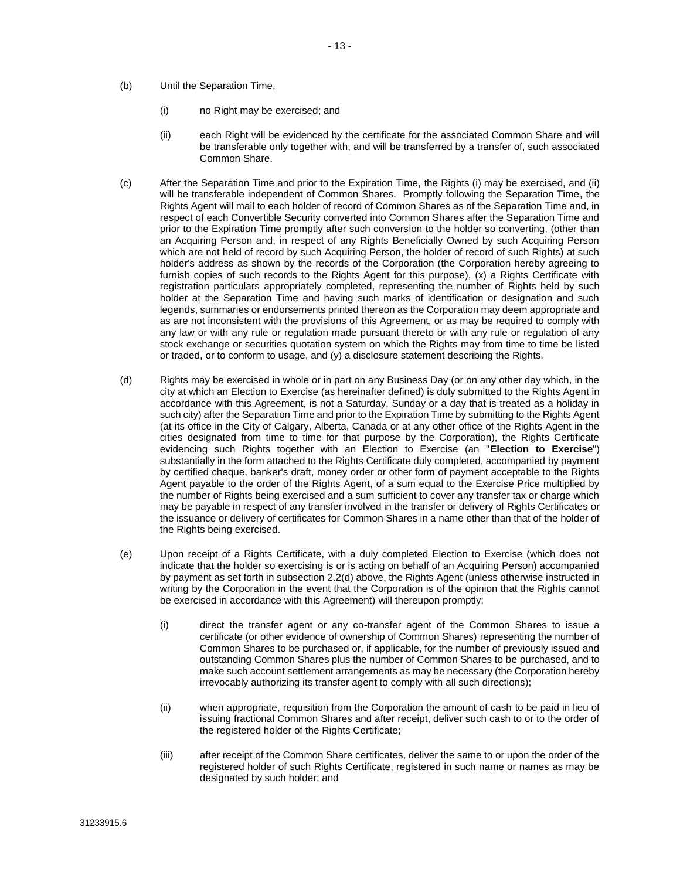- (b) Until the Separation Time,
	- (i) no Right may be exercised; and
	- (ii) each Right will be evidenced by the certificate for the associated Common Share and will be transferable only together with, and will be transferred by a transfer of, such associated Common Share.
- <span id="page-15-1"></span>(c) After the Separation Time and prior to the Expiration Time, the Rights (i) may be exercised, and (ii) will be transferable independent of Common Shares. Promptly following the Separation Time, the Rights Agent will mail to each holder of record of Common Shares as of the Separation Time and, in respect of each Convertible Security converted into Common Shares after the Separation Time and prior to the Expiration Time promptly after such conversion to the holder so converting, (other than an Acquiring Person and, in respect of any Rights Beneficially Owned by such Acquiring Person which are not held of record by such Acquiring Person, the holder of record of such Rights) at such holder's address as shown by the records of the Corporation (the Corporation hereby agreeing to furnish copies of such records to the Rights Agent for this purpose), (x) a Rights Certificate with registration particulars appropriately completed, representing the number of Rights held by such holder at the Separation Time and having such marks of identification or designation and such legends, summaries or endorsements printed thereon as the Corporation may deem appropriate and as are not inconsistent with the provisions of this Agreement, or as may be required to comply with any law or with any rule or regulation made pursuant thereto or with any rule or regulation of any stock exchange or securities quotation system on which the Rights may from time to time be listed or traded, or to conform to usage, and (y) a disclosure statement describing the Rights.
- <span id="page-15-0"></span>(d) Rights may be exercised in whole or in part on any Business Day (or on any other day which, in the city at which an Election to Exercise (as hereinafter defined) is duly submitted to the Rights Agent in accordance with this Agreement, is not a Saturday, Sunday or a day that is treated as a holiday in such city) after the Separation Time and prior to the Expiration Time by submitting to the Rights Agent (at its office in the City of Calgary, Alberta, Canada or at any other office of the Rights Agent in the cities designated from time to time for that purpose by the Corporation), the Rights Certificate evidencing such Rights together with an Election to Exercise (an "**Election to Exercise**") substantially in the form attached to the Rights Certificate duly completed, accompanied by payment by certified cheque, banker's draft, money order or other form of payment acceptable to the Rights Agent payable to the order of the Rights Agent, of a sum equal to the Exercise Price multiplied by the number of Rights being exercised and a sum sufficient to cover any transfer tax or charge which may be payable in respect of any transfer involved in the transfer or delivery of Rights Certificates or the issuance or delivery of certificates for Common Shares in a name other than that of the holder of the Rights being exercised.
- <span id="page-15-2"></span>(e) Upon receipt of a Rights Certificate, with a duly completed Election to Exercise (which does not indicate that the holder so exercising is or is acting on behalf of an Acquiring Person) accompanied by payment as set forth in subsectio[n 2.2\(d\)](#page-15-0) above, the Rights Agent (unless otherwise instructed in writing by the Corporation in the event that the Corporation is of the opinion that the Rights cannot be exercised in accordance with this Agreement) will thereupon promptly:
	- (i) direct the transfer agent or any co-transfer agent of the Common Shares to issue a certificate (or other evidence of ownership of Common Shares) representing the number of Common Shares to be purchased or, if applicable, for the number of previously issued and outstanding Common Shares plus the number of Common Shares to be purchased, and to make such account settlement arrangements as may be necessary (the Corporation hereby irrevocably authorizing its transfer agent to comply with all such directions);
	- (ii) when appropriate, requisition from the Corporation the amount of cash to be paid in lieu of issuing fractional Common Shares and after receipt, deliver such cash to or to the order of the registered holder of the Rights Certificate;
	- (iii) after receipt of the Common Share certificates, deliver the same to or upon the order of the registered holder of such Rights Certificate, registered in such name or names as may be designated by such holder; and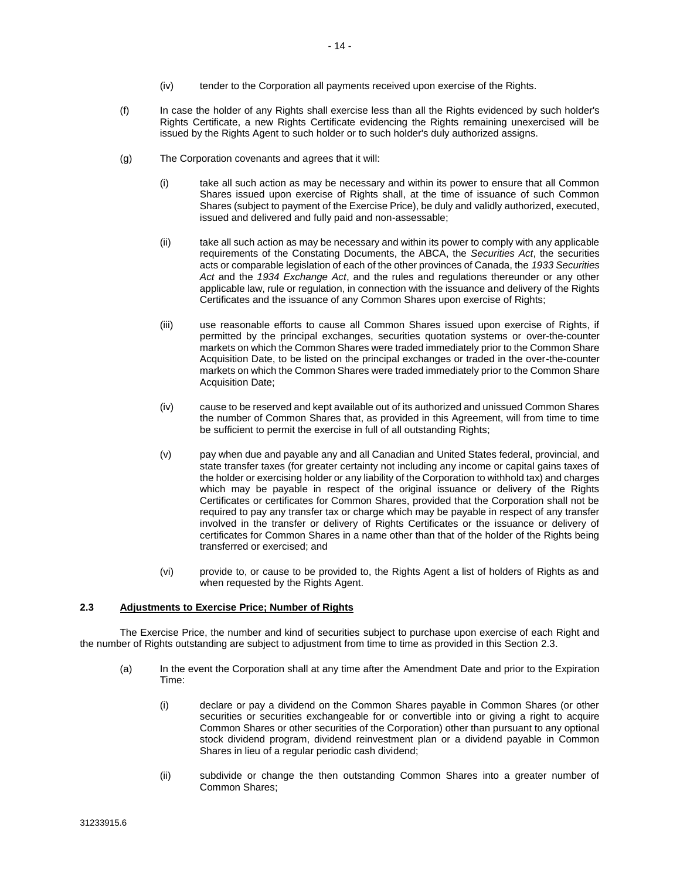- (iv) tender to the Corporation all payments received upon exercise of the Rights.
- (f) In case the holder of any Rights shall exercise less than all the Rights evidenced by such holder's Rights Certificate, a new Rights Certificate evidencing the Rights remaining unexercised will be issued by the Rights Agent to such holder or to such holder's duly authorized assigns.
- (g) The Corporation covenants and agrees that it will:
	- (i) take all such action as may be necessary and within its power to ensure that all Common Shares issued upon exercise of Rights shall, at the time of issuance of such Common Shares (subject to payment of the Exercise Price), be duly and validly authorized, executed, issued and delivered and fully paid and non-assessable;
	- (ii) take all such action as may be necessary and within its power to comply with any applicable requirements of the Constating Documents, the ABCA, the *Securities Act*, the securities acts or comparable legislation of each of the other provinces of Canada, the *1933 Securities Act* and the *1934 Exchange Act*, and the rules and regulations thereunder or any other applicable law, rule or regulation, in connection with the issuance and delivery of the Rights Certificates and the issuance of any Common Shares upon exercise of Rights;
	- (iii) use reasonable efforts to cause all Common Shares issued upon exercise of Rights, if permitted by the principal exchanges, securities quotation systems or over-the-counter markets on which the Common Shares were traded immediately prior to the Common Share Acquisition Date, to be listed on the principal exchanges or traded in the over-the-counter markets on which the Common Shares were traded immediately prior to the Common Share Acquisition Date:
	- (iv) cause to be reserved and kept available out of its authorized and unissued Common Shares the number of Common Shares that, as provided in this Agreement, will from time to time be sufficient to permit the exercise in full of all outstanding Rights;
	- (v) pay when due and payable any and all Canadian and United States federal, provincial, and state transfer taxes (for greater certainty not including any income or capital gains taxes of the holder or exercising holder or any liability of the Corporation to withhold tax) and charges which may be payable in respect of the original issuance or delivery of the Rights Certificates or certificates for Common Shares, provided that the Corporation shall not be required to pay any transfer tax or charge which may be payable in respect of any transfer involved in the transfer or delivery of Rights Certificates or the issuance or delivery of certificates for Common Shares in a name other than that of the holder of the Rights being transferred or exercised; and
	- (vi) provide to, or cause to be provided to, the Rights Agent a list of holders of Rights as and when requested by the Rights Agent.

#### <span id="page-16-1"></span>**2.3 Adjustments to Exercise Price; Number of Rights**

<span id="page-16-0"></span>The Exercise Price, the number and kind of securities subject to purchase upon exercise of each Right and the number of Rights outstanding are subject to adjustment from time to time as provided in this Section [2.3.](#page-16-1)

- <span id="page-16-2"></span>(a) In the event the Corporation shall at any time after the Amendment Date and prior to the Expiration Time:
	- (i) declare or pay a dividend on the Common Shares payable in Common Shares (or other securities or securities exchangeable for or convertible into or giving a right to acquire Common Shares or other securities of the Corporation) other than pursuant to any optional stock dividend program, dividend reinvestment plan or a dividend payable in Common Shares in lieu of a regular periodic cash dividend;
	- (ii) subdivide or change the then outstanding Common Shares into a greater number of Common Shares;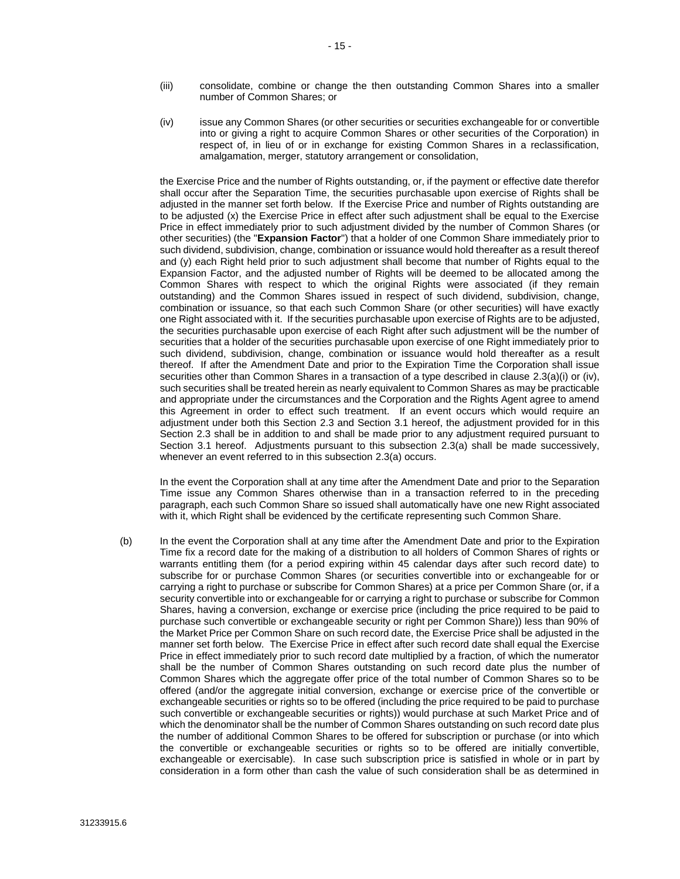- (iii) consolidate, combine or change the then outstanding Common Shares into a smaller number of Common Shares; or
- <span id="page-17-0"></span>(iv) issue any Common Shares (or other securities or securities exchangeable for or convertible into or giving a right to acquire Common Shares or other securities of the Corporation) in respect of, in lieu of or in exchange for existing Common Shares in a reclassification, amalgamation, merger, statutory arrangement or consolidation,

the Exercise Price and the number of Rights outstanding, or, if the payment or effective date therefor shall occur after the Separation Time, the securities purchasable upon exercise of Rights shall be adjusted in the manner set forth below. If the Exercise Price and number of Rights outstanding are to be adjusted (x) the Exercise Price in effect after such adjustment shall be equal to the Exercise Price in effect immediately prior to such adjustment divided by the number of Common Shares (or other securities) (the "**Expansion Factor**") that a holder of one Common Share immediately prior to such dividend, subdivision, change, combination or issuance would hold thereafter as a result thereof and (y) each Right held prior to such adjustment shall become that number of Rights equal to the Expansion Factor, and the adjusted number of Rights will be deemed to be allocated among the Common Shares with respect to which the original Rights were associated (if they remain outstanding) and the Common Shares issued in respect of such dividend, subdivision, change, combination or issuance, so that each such Common Share (or other securities) will have exactly one Right associated with it. If the securities purchasable upon exercise of Rights are to be adjusted, the securities purchasable upon exercise of each Right after such adjustment will be the number of securities that a holder of the securities purchasable upon exercise of one Right immediately prior to such dividend, subdivision, change, combination or issuance would hold thereafter as a result thereof. If after the Amendment Date and prior to the Expiration Time the Corporation shall issue securities other than Common Shares in a transaction of a type described in clause [2.3\(a\)\(i\)](#page-16-2) or [\(iv\),](#page-17-0) such securities shall be treated herein as nearly equivalent to Common Shares as may be practicable and appropriate under the circumstances and the Corporation and the Rights Agent agree to amend this Agreement in order to effect such treatment. If an event occurs which would require an adjustment under both this Section [2.3](#page-16-1) and Section [3.1](#page-21-0) hereof, the adjustment provided for in this Section [2.3](#page-16-1) shall be in addition to and shall be made prior to any adjustment required pursuant to Section [3.1](#page-21-0) hereof. Adjustments pursuant to this subsection [2.3\(a\)](#page-16-0) shall be made successively, whenever an event referred to in this subsection [2.3\(a\)](#page-16-0) occurs.

In the event the Corporation shall at any time after the Amendment Date and prior to the Separation Time issue any Common Shares otherwise than in a transaction referred to in the preceding paragraph, each such Common Share so issued shall automatically have one new Right associated with it, which Right shall be evidenced by the certificate representing such Common Share.

<span id="page-17-1"></span>(b) In the event the Corporation shall at any time after the Amendment Date and prior to the Expiration Time fix a record date for the making of a distribution to all holders of Common Shares of rights or warrants entitling them (for a period expiring within 45 calendar days after such record date) to subscribe for or purchase Common Shares (or securities convertible into or exchangeable for or carrying a right to purchase or subscribe for Common Shares) at a price per Common Share (or, if a security convertible into or exchangeable for or carrying a right to purchase or subscribe for Common Shares, having a conversion, exchange or exercise price (including the price required to be paid to purchase such convertible or exchangeable security or right per Common Share)) less than 90% of the Market Price per Common Share on such record date, the Exercise Price shall be adjusted in the manner set forth below. The Exercise Price in effect after such record date shall equal the Exercise Price in effect immediately prior to such record date multiplied by a fraction, of which the numerator shall be the number of Common Shares outstanding on such record date plus the number of Common Shares which the aggregate offer price of the total number of Common Shares so to be offered (and/or the aggregate initial conversion, exchange or exercise price of the convertible or exchangeable securities or rights so to be offered (including the price required to be paid to purchase such convertible or exchangeable securities or rights)) would purchase at such Market Price and of which the denominator shall be the number of Common Shares outstanding on such record date plus the number of additional Common Shares to be offered for subscription or purchase (or into which the convertible or exchangeable securities or rights so to be offered are initially convertible, exchangeable or exercisable). In case such subscription price is satisfied in whole or in part by consideration in a form other than cash the value of such consideration shall be as determined in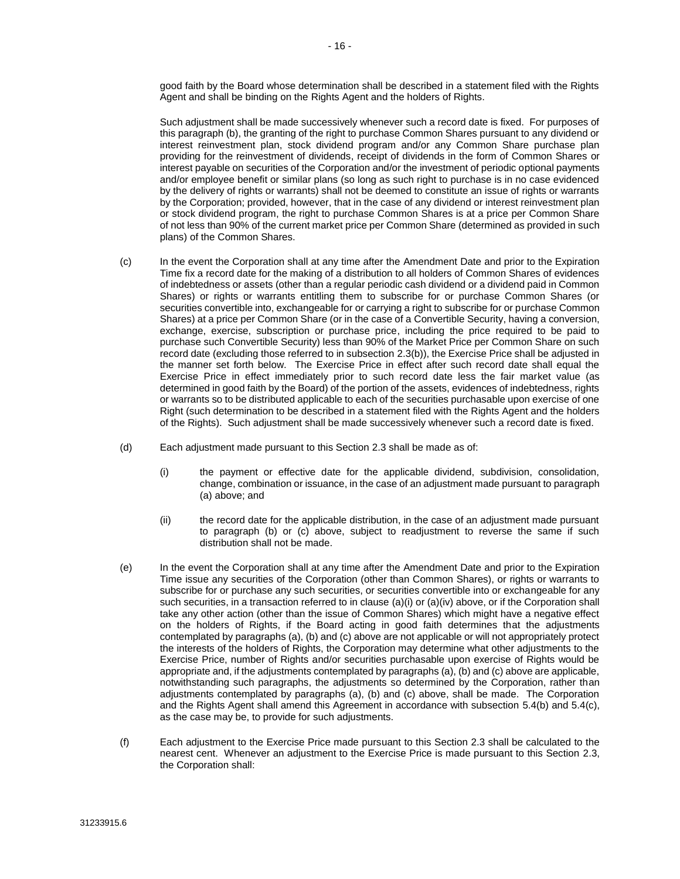good faith by the Board whose determination shall be described in a statement filed with the Rights Agent and shall be binding on the Rights Agent and the holders of Rights.

Such adjustment shall be made successively whenever such a record date is fixed. For purposes of this paragraph (b), the granting of the right to purchase Common Shares pursuant to any dividend or interest reinvestment plan, stock dividend program and/or any Common Share purchase plan providing for the reinvestment of dividends, receipt of dividends in the form of Common Shares or interest payable on securities of the Corporation and/or the investment of periodic optional payments and/or employee benefit or similar plans (so long as such right to purchase is in no case evidenced by the delivery of rights or warrants) shall not be deemed to constitute an issue of rights or warrants by the Corporation; provided, however, that in the case of any dividend or interest reinvestment plan or stock dividend program, the right to purchase Common Shares is at a price per Common Share of not less than 90% of the current market price per Common Share (determined as provided in such plans) of the Common Shares.

- (c) In the event the Corporation shall at any time after the Amendment Date and prior to the Expiration Time fix a record date for the making of a distribution to all holders of Common Shares of evidences of indebtedness or assets (other than a regular periodic cash dividend or a dividend paid in Common Shares) or rights or warrants entitling them to subscribe for or purchase Common Shares (or securities convertible into, exchangeable for or carrying a right to subscribe for or purchase Common Shares) at a price per Common Share (or in the case of a Convertible Security, having a conversion, exchange, exercise, subscription or purchase price, including the price required to be paid to purchase such Convertible Security) less than 90% of the Market Price per Common Share on such record date (excluding those referred to in subsectio[n 2.3\(b\)\)](#page-17-1), the Exercise Price shall be adjusted in the manner set forth below. The Exercise Price in effect after such record date shall equal the Exercise Price in effect immediately prior to such record date less the fair market value (as determined in good faith by the Board) of the portion of the assets, evidences of indebtedness, rights or warrants so to be distributed applicable to each of the securities purchasable upon exercise of one Right (such determination to be described in a statement filed with the Rights Agent and the holders of the Rights). Such adjustment shall be made successively whenever such a record date is fixed.
- (d) Each adjustment made pursuant to this Section [2.3](#page-16-1) shall be made as of:
	- (i) the payment or effective date for the applicable dividend, subdivision, consolidation, change, combination or issuance, in the case of an adjustment made pursuant to paragraph (a) above; and
	- (ii) the record date for the applicable distribution, in the case of an adjustment made pursuant to paragraph (b) or (c) above, subject to readjustment to reverse the same if such distribution shall not be made.
- (e) In the event the Corporation shall at any time after the Amendment Date and prior to the Expiration Time issue any securities of the Corporation (other than Common Shares), or rights or warrants to subscribe for or purchase any such securities, or securities convertible into or exchangeable for any such securities, in a transaction referred to in clause [\(a\)\(i\)](#page-16-2) o[r \(a\)\(iv\)](#page-17-0) above, or if the Corporation shall take any other action (other than the issue of Common Shares) which might have a negative effect on the holders of Rights, if the Board acting in good faith determines that the adjustments contemplated by paragraphs (a), (b) and (c) above are not applicable or will not appropriately protect the interests of the holders of Rights, the Corporation may determine what other adjustments to the Exercise Price, number of Rights and/or securities purchasable upon exercise of Rights would be appropriate and, if the adjustments contemplated by paragraphs (a), (b) and (c) above are applicable, notwithstanding such paragraphs, the adjustments so determined by the Corporation, rather than adjustments contemplated by paragraphs (a), (b) and (c) above, shall be made. The Corporation and the Rights Agent shall amend this Agreement in accordance with subsection [5.4\(b\)](#page-27-0) and [5.4\(c\),](#page-27-1) as the case may be, to provide for such adjustments.
- (f) Each adjustment to the Exercise Price made pursuant to this Section [2.3](#page-16-1) shall be calculated to the nearest cent. Whenever an adjustment to the Exercise Price is made pursuant to this Section [2.3,](#page-16-1) the Corporation shall: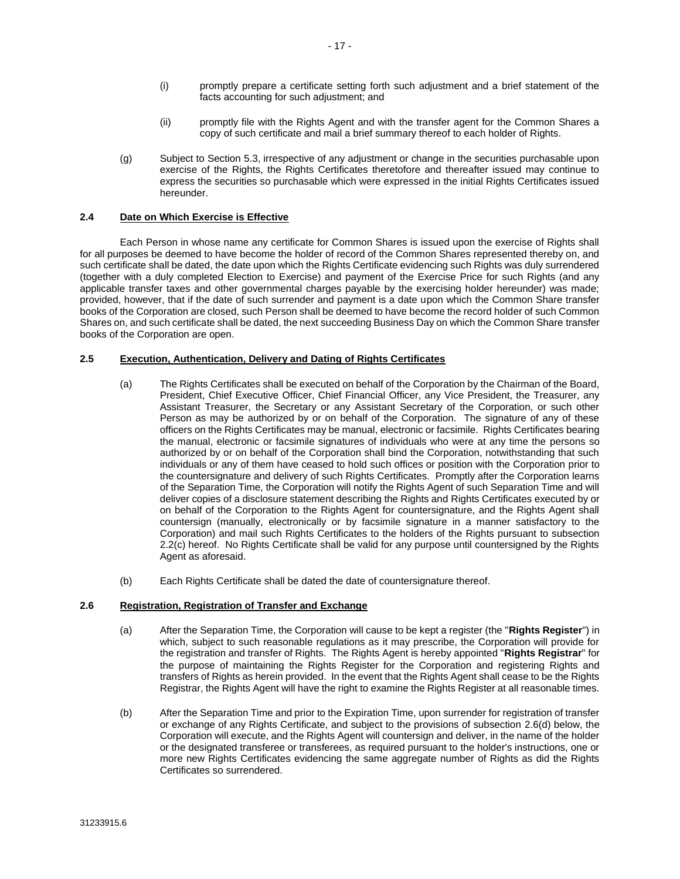- (i) promptly prepare a certificate setting forth such adjustment and a brief statement of the facts accounting for such adjustment; and
- (ii) promptly file with the Rights Agent and with the transfer agent for the Common Shares a copy of such certificate and mail a brief summary thereof to each holder of Rights.
- (g) Subject to Section [5.3,](#page-27-2) irrespective of any adjustment or change in the securities purchasable upon exercise of the Rights, the Rights Certificates theretofore and thereafter issued may continue to express the securities so purchasable which were expressed in the initial Rights Certificates issued hereunder.

#### **2.4 Date on Which Exercise is Effective**

Each Person in whose name any certificate for Common Shares is issued upon the exercise of Rights shall for all purposes be deemed to have become the holder of record of the Common Shares represented thereby on, and such certificate shall be dated, the date upon which the Rights Certificate evidencing such Rights was duly surrendered (together with a duly completed Election to Exercise) and payment of the Exercise Price for such Rights (and any applicable transfer taxes and other governmental charges payable by the exercising holder hereunder) was made; provided, however, that if the date of such surrender and payment is a date upon which the Common Share transfer books of the Corporation are closed, such Person shall be deemed to have become the record holder of such Common Shares on, and such certificate shall be dated, the next succeeding Business Day on which the Common Share transfer books of the Corporation are open.

#### **2.5 Execution, Authentication, Delivery and Dating of Rights Certificates**

- (a) The Rights Certificates shall be executed on behalf of the Corporation by the Chairman of the Board, President, Chief Executive Officer, Chief Financial Officer, any Vice President, the Treasurer, any Assistant Treasurer, the Secretary or any Assistant Secretary of the Corporation, or such other Person as may be authorized by or on behalf of the Corporation. The signature of any of these officers on the Rights Certificates may be manual, electronic or facsimile. Rights Certificates bearing the manual, electronic or facsimile signatures of individuals who were at any time the persons so authorized by or on behalf of the Corporation shall bind the Corporation, notwithstanding that such individuals or any of them have ceased to hold such offices or position with the Corporation prior to the countersignature and delivery of such Rights Certificates. Promptly after the Corporation learns of the Separation Time, the Corporation will notify the Rights Agent of such Separation Time and will deliver copies of a disclosure statement describing the Rights and Rights Certificates executed by or on behalf of the Corporation to the Rights Agent for countersignature, and the Rights Agent shall countersign (manually, electronically or by facsimile signature in a manner satisfactory to the Corporation) and mail such Rights Certificates to the holders of the Rights pursuant to subsection [2.2\(c\)](#page-15-1) hereof. No Rights Certificate shall be valid for any purpose until countersigned by the Rights Agent as aforesaid.
- (b) Each Rights Certificate shall be dated the date of countersignature thereof.

#### <span id="page-19-0"></span>**2.6 Registration, Registration of Transfer and Exchange**

- (a) After the Separation Time, the Corporation will cause to be kept a register (the "**Rights Register**") in which, subject to such reasonable regulations as it may prescribe, the Corporation will provide for the registration and transfer of Rights. The Rights Agent is hereby appointed "**Rights Registrar**" for the purpose of maintaining the Rights Register for the Corporation and registering Rights and transfers of Rights as herein provided. In the event that the Rights Agent shall cease to be the Rights Registrar, the Rights Agent will have the right to examine the Rights Register at all reasonable times.
- (b) After the Separation Time and prior to the Expiration Time, upon surrender for registration of transfer or exchange of any Rights Certificate, and subject to the provisions of subsection [2.6\(d\)](#page-20-0) below, the Corporation will execute, and the Rights Agent will countersign and deliver, in the name of the holder or the designated transferee or transferees, as required pursuant to the holder's instructions, one or more new Rights Certificates evidencing the same aggregate number of Rights as did the Rights Certificates so surrendered.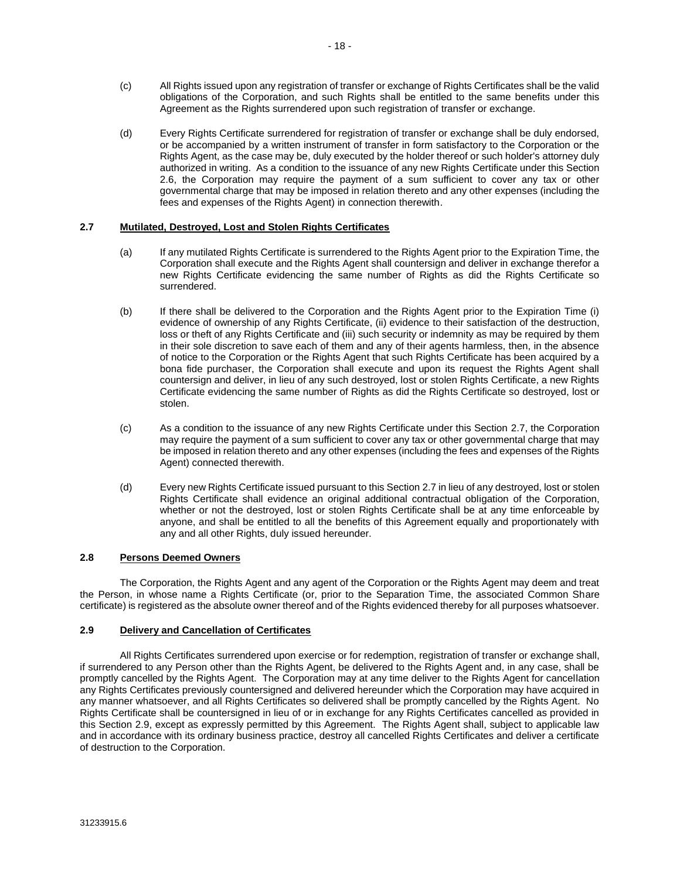- (c) All Rights issued upon any registration of transfer or exchange of Rights Certificates shall be the valid obligations of the Corporation, and such Rights shall be entitled to the same benefits under this Agreement as the Rights surrendered upon such registration of transfer or exchange.
- <span id="page-20-0"></span>(d) Every Rights Certificate surrendered for registration of transfer or exchange shall be duly endorsed, or be accompanied by a written instrument of transfer in form satisfactory to the Corporation or the Rights Agent, as the case may be, duly executed by the holder thereof or such holder's attorney duly authorized in writing. As a condition to the issuance of any new Rights Certificate under this Section [2.6,](#page-19-0) the Corporation may require the payment of a sum sufficient to cover any tax or other governmental charge that may be imposed in relation thereto and any other expenses (including the fees and expenses of the Rights Agent) in connection therewith.

#### <span id="page-20-1"></span>**2.7 Mutilated, Destroyed, Lost and Stolen Rights Certificates**

- (a) If any mutilated Rights Certificate is surrendered to the Rights Agent prior to the Expiration Time, the Corporation shall execute and the Rights Agent shall countersign and deliver in exchange therefor a new Rights Certificate evidencing the same number of Rights as did the Rights Certificate so surrendered.
- (b) If there shall be delivered to the Corporation and the Rights Agent prior to the Expiration Time (i) evidence of ownership of any Rights Certificate, (ii) evidence to their satisfaction of the destruction, loss or theft of any Rights Certificate and (iii) such security or indemnity as may be required by them in their sole discretion to save each of them and any of their agents harmless, then, in the absence of notice to the Corporation or the Rights Agent that such Rights Certificate has been acquired by a bona fide purchaser, the Corporation shall execute and upon its request the Rights Agent shall countersign and deliver, in lieu of any such destroyed, lost or stolen Rights Certificate, a new Rights Certificate evidencing the same number of Rights as did the Rights Certificate so destroyed, lost or stolen.
- (c) As a condition to the issuance of any new Rights Certificate under this Section [2.7,](#page-20-1) the Corporation may require the payment of a sum sufficient to cover any tax or other governmental charge that may be imposed in relation thereto and any other expenses (including the fees and expenses of the Rights Agent) connected therewith.
- (d) Every new Rights Certificate issued pursuant to this Sectio[n 2.7](#page-20-1) in lieu of any destroyed, lost or stolen Rights Certificate shall evidence an original additional contractual obligation of the Corporation, whether or not the destroyed, lost or stolen Rights Certificate shall be at any time enforceable by anyone, and shall be entitled to all the benefits of this Agreement equally and proportionately with any and all other Rights, duly issued hereunder.

#### **2.8 Persons Deemed Owners**

The Corporation, the Rights Agent and any agent of the Corporation or the Rights Agent may deem and treat the Person, in whose name a Rights Certificate (or, prior to the Separation Time, the associated Common Share certificate) is registered as the absolute owner thereof and of the Rights evidenced thereby for all purposes whatsoever.

#### <span id="page-20-2"></span>**2.9 Delivery and Cancellation of Certificates**

All Rights Certificates surrendered upon exercise or for redemption, registration of transfer or exchange shall, if surrendered to any Person other than the Rights Agent, be delivered to the Rights Agent and, in any case, shall be promptly cancelled by the Rights Agent. The Corporation may at any time deliver to the Rights Agent for cancellation any Rights Certificates previously countersigned and delivered hereunder which the Corporation may have acquired in any manner whatsoever, and all Rights Certificates so delivered shall be promptly cancelled by the Rights Agent. No Rights Certificate shall be countersigned in lieu of or in exchange for any Rights Certificates cancelled as provided in this Section [2.9,](#page-20-2) except as expressly permitted by this Agreement. The Rights Agent shall, subject to applicable law and in accordance with its ordinary business practice, destroy all cancelled Rights Certificates and deliver a certificate of destruction to the Corporation.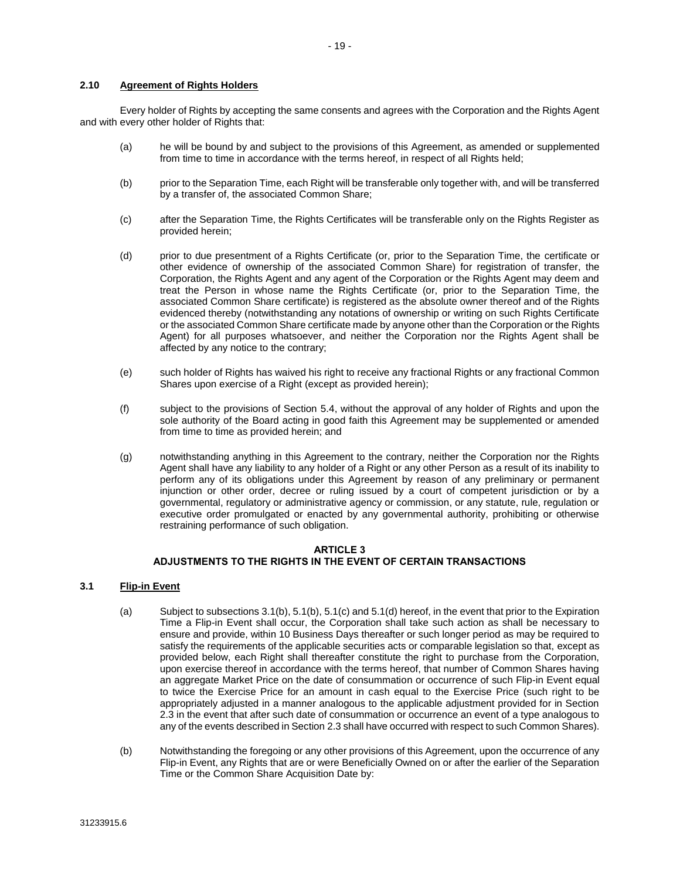#### **2.10 Agreement of Rights Holders**

Every holder of Rights by accepting the same consents and agrees with the Corporation and the Rights Agent and with every other holder of Rights that:

- (a) he will be bound by and subject to the provisions of this Agreement, as amended or supplemented from time to time in accordance with the terms hereof, in respect of all Rights held;
- (b) prior to the Separation Time, each Right will be transferable only together with, and will be transferred by a transfer of, the associated Common Share;
- (c) after the Separation Time, the Rights Certificates will be transferable only on the Rights Register as provided herein;
- (d) prior to due presentment of a Rights Certificate (or, prior to the Separation Time, the certificate or other evidence of ownership of the associated Common Share) for registration of transfer, the Corporation, the Rights Agent and any agent of the Corporation or the Rights Agent may deem and treat the Person in whose name the Rights Certificate (or, prior to the Separation Time, the associated Common Share certificate) is registered as the absolute owner thereof and of the Rights evidenced thereby (notwithstanding any notations of ownership or writing on such Rights Certificate or the associated Common Share certificate made by anyone other than the Corporation or the Rights Agent) for all purposes whatsoever, and neither the Corporation nor the Rights Agent shall be affected by any notice to the contrary;
- (e) such holder of Rights has waived his right to receive any fractional Rights or any fractional Common Shares upon exercise of a Right (except as provided herein);
- (f) subject to the provisions of Section [5.4,](#page-27-3) without the approval of any holder of Rights and upon the sole authority of the Board acting in good faith this Agreement may be supplemented or amended from time to time as provided herein; and
- (g) notwithstanding anything in this Agreement to the contrary, neither the Corporation nor the Rights Agent shall have any liability to any holder of a Right or any other Person as a result of its inability to perform any of its obligations under this Agreement by reason of any preliminary or permanent injunction or other order, decree or ruling issued by a court of competent jurisdiction or by a governmental, regulatory or administrative agency or commission, or any statute, rule, regulation or executive order promulgated or enacted by any governmental authority, prohibiting or otherwise restraining performance of such obligation.

#### **ARTICLE 3 ADJUSTMENTS TO THE RIGHTS IN THE EVENT OF CERTAIN TRANSACTIONS**

#### <span id="page-21-0"></span>**3.1 Flip-in Event**

- (a) Subject to subsection[s 3.1\(b\),](#page-21-1) [5.1\(b\),](#page-25-0) [5.1\(c\)](#page-25-1) an[d 5.1\(d\)](#page-26-0) hereof, in the event that prior to the Expiration Time a Flip-in Event shall occur, the Corporation shall take such action as shall be necessary to ensure and provide, within 10 Business Days thereafter or such longer period as may be required to satisfy the requirements of the applicable securities acts or comparable legislation so that, except as provided below, each Right shall thereafter constitute the right to purchase from the Corporation, upon exercise thereof in accordance with the terms hereof, that number of Common Shares having an aggregate Market Price on the date of consummation or occurrence of such Flip-in Event equal to twice the Exercise Price for an amount in cash equal to the Exercise Price (such right to be appropriately adjusted in a manner analogous to the applicable adjustment provided for in Section [2.3](#page-16-1) in the event that after such date of consummation or occurrence an event of a type analogous to any of the events described in Sectio[n 2.3](#page-16-1) shall have occurred with respect to such Common Shares).
- <span id="page-21-1"></span>(b) Notwithstanding the foregoing or any other provisions of this Agreement, upon the occurrence of any Flip-in Event, any Rights that are or were Beneficially Owned on or after the earlier of the Separation Time or the Common Share Acquisition Date by: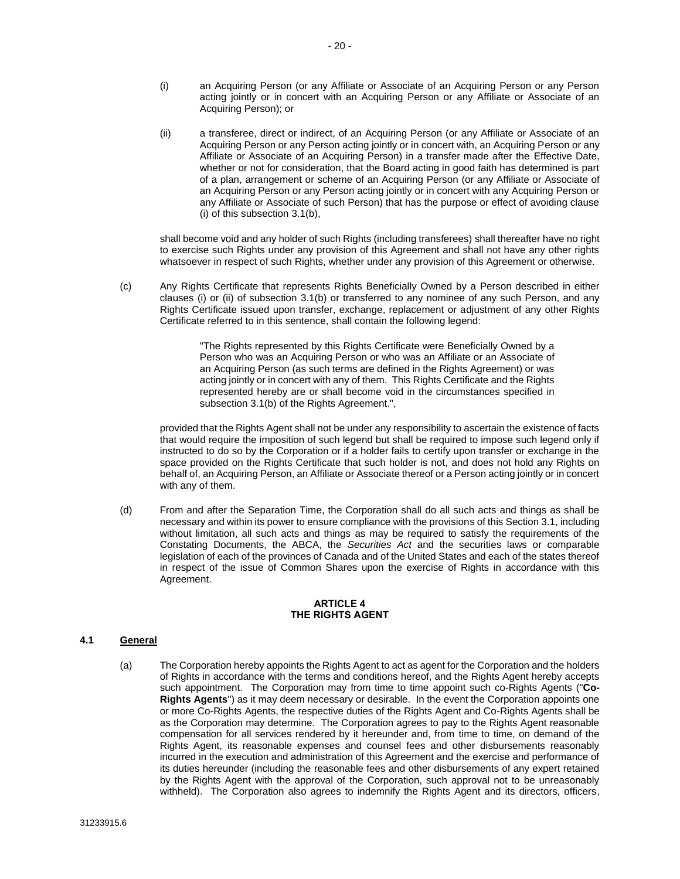- <span id="page-22-1"></span>(i) an Acquiring Person (or any Affiliate or Associate of an Acquiring Person or any Person acting jointly or in concert with an Acquiring Person or any Affiliate or Associate of an Acquiring Person); or
- <span id="page-22-2"></span>(ii) a transferee, direct or indirect, of an Acquiring Person (or any Affiliate or Associate of an Acquiring Person or any Person acting jointly or in concert with, an Acquiring Person or any Affiliate or Associate of an Acquiring Person) in a transfer made after the Effective Date, whether or not for consideration, that the Board acting in good faith has determined is part of a plan, arrangement or scheme of an Acquiring Person (or any Affiliate or Associate of an Acquiring Person or any Person acting jointly or in concert with any Acquiring Person or any Affiliate or Associate of such Person) that has the purpose or effect of avoiding clause [\(i\)](#page-22-1) of this subsectio[n 3.1\(b\),](#page-21-1)

shall become void and any holder of such Rights (including transferees) shall thereafter have no right to exercise such Rights under any provision of this Agreement and shall not have any other rights whatsoever in respect of such Rights, whether under any provision of this Agreement or otherwise.

(c) Any Rights Certificate that represents Rights Beneficially Owned by a Person described in either clauses [\(i\)](#page-22-1) or [\(ii\)](#page-22-2) of subsection [3.1\(b\)](#page-21-1) or transferred to any nominee of any such Person, and any Rights Certificate issued upon transfer, exchange, replacement or adjustment of any other Rights Certificate referred to in this sentence, shall contain the following legend:

> "The Rights represented by this Rights Certificate were Beneficially Owned by a Person who was an Acquiring Person or who was an Affiliate or an Associate of an Acquiring Person (as such terms are defined in the Rights Agreement) or was acting jointly or in concert with any of them. This Rights Certificate and the Rights represented hereby are or shall become void in the circumstances specified in subsectio[n 3.1\(b\)](#page-21-1) of the Rights Agreement.",

provided that the Rights Agent shall not be under any responsibility to ascertain the existence of facts that would require the imposition of such legend but shall be required to impose such legend only if instructed to do so by the Corporation or if a holder fails to certify upon transfer or exchange in the space provided on the Rights Certificate that such holder is not, and does not hold any Rights on behalf of, an Acquiring Person, an Affiliate or Associate thereof or a Person acting jointly or in concert with any of them.

(d) From and after the Separation Time, the Corporation shall do all such acts and things as shall be necessary and within its power to ensure compliance with the provisions of this Sectio[n 3.1,](#page-21-0) including without limitation, all such acts and things as may be required to satisfy the requirements of the Constating Documents, the ABCA, the *Securities Act* and the securities laws or comparable legislation of each of the provinces of Canada and of the United States and each of the states thereof in respect of the issue of Common Shares upon the exercise of Rights in accordance with this Agreement.

#### **ARTICLE 4 THE RIGHTS AGENT**

#### <span id="page-22-3"></span><span id="page-22-0"></span>**4.1 General**

(a) The Corporation hereby appoints the Rights Agent to act as agent for the Corporation and the holders of Rights in accordance with the terms and conditions hereof, and the Rights Agent hereby accepts such appointment. The Corporation may from time to time appoint such co-Rights Agents ("**Co-Rights Agents**") as it may deem necessary or desirable. In the event the Corporation appoints one or more Co-Rights Agents, the respective duties of the Rights Agent and Co-Rights Agents shall be as the Corporation may determine. The Corporation agrees to pay to the Rights Agent reasonable compensation for all services rendered by it hereunder and, from time to time, on demand of the Rights Agent, its reasonable expenses and counsel fees and other disbursements reasonably incurred in the execution and administration of this Agreement and the exercise and performance of its duties hereunder (including the reasonable fees and other disbursements of any expert retained by the Rights Agent with the approval of the Corporation, such approval not to be unreasonably withheld). The Corporation also agrees to indemnify the Rights Agent and its directors, officers,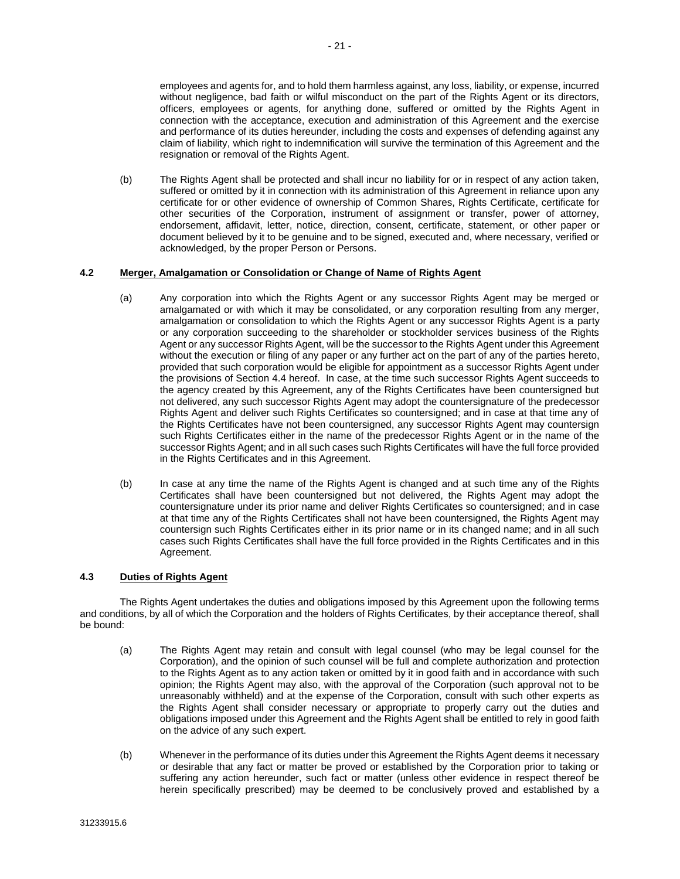employees and agents for, and to hold them harmless against, any loss, liability, or expense, incurred without negligence, bad faith or wilful misconduct on the part of the Rights Agent or its directors, officers, employees or agents, for anything done, suffered or omitted by the Rights Agent in connection with the acceptance, execution and administration of this Agreement and the exercise and performance of its duties hereunder, including the costs and expenses of defending against any claim of liability, which right to indemnification will survive the termination of this Agreement and the resignation or removal of the Rights Agent.

(b) The Rights Agent shall be protected and shall incur no liability for or in respect of any action taken, suffered or omitted by it in connection with its administration of this Agreement in reliance upon any certificate for or other evidence of ownership of Common Shares, Rights Certificate, certificate for other securities of the Corporation, instrument of assignment or transfer, power of attorney, endorsement, affidavit, letter, notice, direction, consent, certificate, statement, or other paper or document believed by it to be genuine and to be signed, executed and, where necessary, verified or acknowledged, by the proper Person or Persons.

#### **4.2 Merger, Amalgamation or Consolidation or Change of Name of Rights Agent**

- (a) Any corporation into which the Rights Agent or any successor Rights Agent may be merged or amalgamated or with which it may be consolidated, or any corporation resulting from any merger, amalgamation or consolidation to which the Rights Agent or any successor Rights Agent is a party or any corporation succeeding to the shareholder or stockholder services business of the Rights Agent or any successor Rights Agent, will be the successor to the Rights Agent under this Agreement without the execution or filing of any paper or any further act on the part of any of the parties hereto, provided that such corporation would be eligible for appointment as a successor Rights Agent under the provisions of Section [4.4](#page-25-4) hereof. In case, at the time such successor Rights Agent succeeds to the agency created by this Agreement, any of the Rights Certificates have been countersigned but not delivered, any such successor Rights Agent may adopt the countersignature of the predecessor Rights Agent and deliver such Rights Certificates so countersigned; and in case at that time any of the Rights Certificates have not been countersigned, any successor Rights Agent may countersign such Rights Certificates either in the name of the predecessor Rights Agent or in the name of the successor Rights Agent; and in all such cases such Rights Certificates will have the full force provided in the Rights Certificates and in this Agreement.
- (b) In case at any time the name of the Rights Agent is changed and at such time any of the Rights Certificates shall have been countersigned but not delivered, the Rights Agent may adopt the countersignature under its prior name and deliver Rights Certificates so countersigned; and in case at that time any of the Rights Certificates shall not have been countersigned, the Rights Agent may countersign such Rights Certificates either in its prior name or in its changed name; and in all such cases such Rights Certificates shall have the full force provided in the Rights Certificates and in this Agreement.

#### **4.3 Duties of Rights Agent**

The Rights Agent undertakes the duties and obligations imposed by this Agreement upon the following terms and conditions, by all of which the Corporation and the holders of Rights Certificates, by their acceptance thereof, shall be bound:

- (a) The Rights Agent may retain and consult with legal counsel (who may be legal counsel for the Corporation), and the opinion of such counsel will be full and complete authorization and protection to the Rights Agent as to any action taken or omitted by it in good faith and in accordance with such opinion; the Rights Agent may also, with the approval of the Corporation (such approval not to be unreasonably withheld) and at the expense of the Corporation, consult with such other experts as the Rights Agent shall consider necessary or appropriate to properly carry out the duties and obligations imposed under this Agreement and the Rights Agent shall be entitled to rely in good faith on the advice of any such expert.
- (b) Whenever in the performance of its duties under this Agreement the Rights Agent deems it necessary or desirable that any fact or matter be proved or established by the Corporation prior to taking or suffering any action hereunder, such fact or matter (unless other evidence in respect thereof be herein specifically prescribed) may be deemed to be conclusively proved and established by a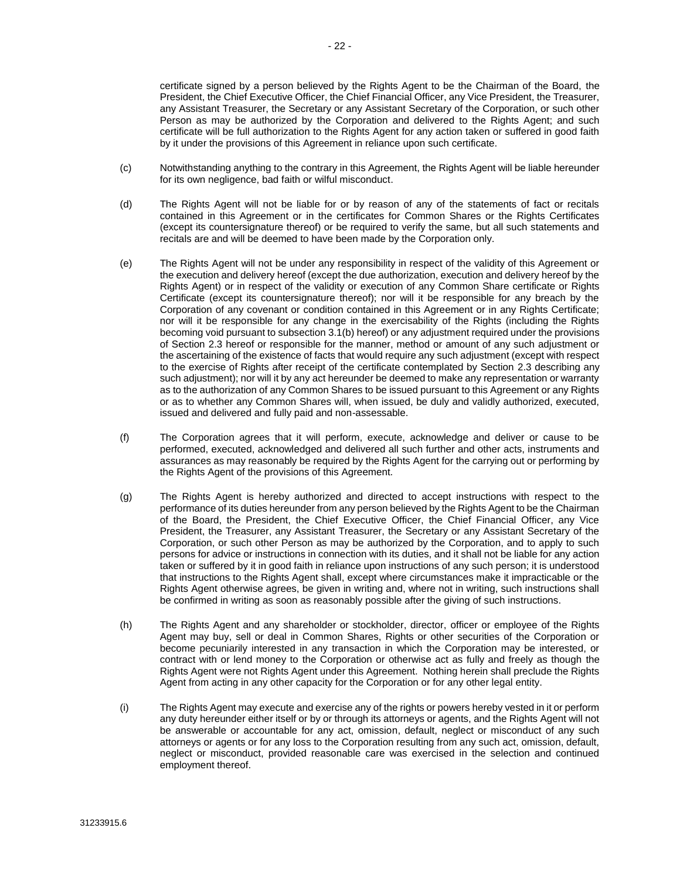certificate signed by a person believed by the Rights Agent to be the Chairman of the Board, the President, the Chief Executive Officer, the Chief Financial Officer, any Vice President, the Treasurer, any Assistant Treasurer, the Secretary or any Assistant Secretary of the Corporation, or such other Person as may be authorized by the Corporation and delivered to the Rights Agent; and such certificate will be full authorization to the Rights Agent for any action taken or suffered in good faith by it under the provisions of this Agreement in reliance upon such certificate.

- (c) Notwithstanding anything to the contrary in this Agreement, the Rights Agent will be liable hereunder for its own negligence, bad faith or wilful misconduct.
- (d) The Rights Agent will not be liable for or by reason of any of the statements of fact or recitals contained in this Agreement or in the certificates for Common Shares or the Rights Certificates (except its countersignature thereof) or be required to verify the same, but all such statements and recitals are and will be deemed to have been made by the Corporation only.
- (e) The Rights Agent will not be under any responsibility in respect of the validity of this Agreement or the execution and delivery hereof (except the due authorization, execution and delivery hereof by the Rights Agent) or in respect of the validity or execution of any Common Share certificate or Rights Certificate (except its countersignature thereof); nor will it be responsible for any breach by the Corporation of any covenant or condition contained in this Agreement or in any Rights Certificate; nor will it be responsible for any change in the exercisability of the Rights (including the Rights becoming void pursuant to subsectio[n 3.1\(b\)](#page-21-1) hereof) or any adjustment required under the provisions of Section [2.3](#page-16-1) hereof or responsible for the manner, method or amount of any such adjustment or the ascertaining of the existence of facts that would require any such adjustment (except with respect to the exercise of Rights after receipt of the certificate contemplated by Section [2.3](#page-16-1) describing any such adjustment); nor will it by any act hereunder be deemed to make any representation or warranty as to the authorization of any Common Shares to be issued pursuant to this Agreement or any Rights or as to whether any Common Shares will, when issued, be duly and validly authorized, executed, issued and delivered and fully paid and non-assessable.
- (f) The Corporation agrees that it will perform, execute, acknowledge and deliver or cause to be performed, executed, acknowledged and delivered all such further and other acts, instruments and assurances as may reasonably be required by the Rights Agent for the carrying out or performing by the Rights Agent of the provisions of this Agreement.
- (g) The Rights Agent is hereby authorized and directed to accept instructions with respect to the performance of its duties hereunder from any person believed by the Rights Agent to be the Chairman of the Board, the President, the Chief Executive Officer, the Chief Financial Officer, any Vice President, the Treasurer, any Assistant Treasurer, the Secretary or any Assistant Secretary of the Corporation, or such other Person as may be authorized by the Corporation, and to apply to such persons for advice or instructions in connection with its duties, and it shall not be liable for any action taken or suffered by it in good faith in reliance upon instructions of any such person; it is understood that instructions to the Rights Agent shall, except where circumstances make it impracticable or the Rights Agent otherwise agrees, be given in writing and, where not in writing, such instructions shall be confirmed in writing as soon as reasonably possible after the giving of such instructions.
- (h) The Rights Agent and any shareholder or stockholder, director, officer or employee of the Rights Agent may buy, sell or deal in Common Shares, Rights or other securities of the Corporation or become pecuniarily interested in any transaction in which the Corporation may be interested, or contract with or lend money to the Corporation or otherwise act as fully and freely as though the Rights Agent were not Rights Agent under this Agreement. Nothing herein shall preclude the Rights Agent from acting in any other capacity for the Corporation or for any other legal entity.
- (i) The Rights Agent may execute and exercise any of the rights or powers hereby vested in it or perform any duty hereunder either itself or by or through its attorneys or agents, and the Rights Agent will not be answerable or accountable for any act, omission, default, neglect or misconduct of any such attorneys or agents or for any loss to the Corporation resulting from any such act, omission, default, neglect or misconduct, provided reasonable care was exercised in the selection and continued employment thereof.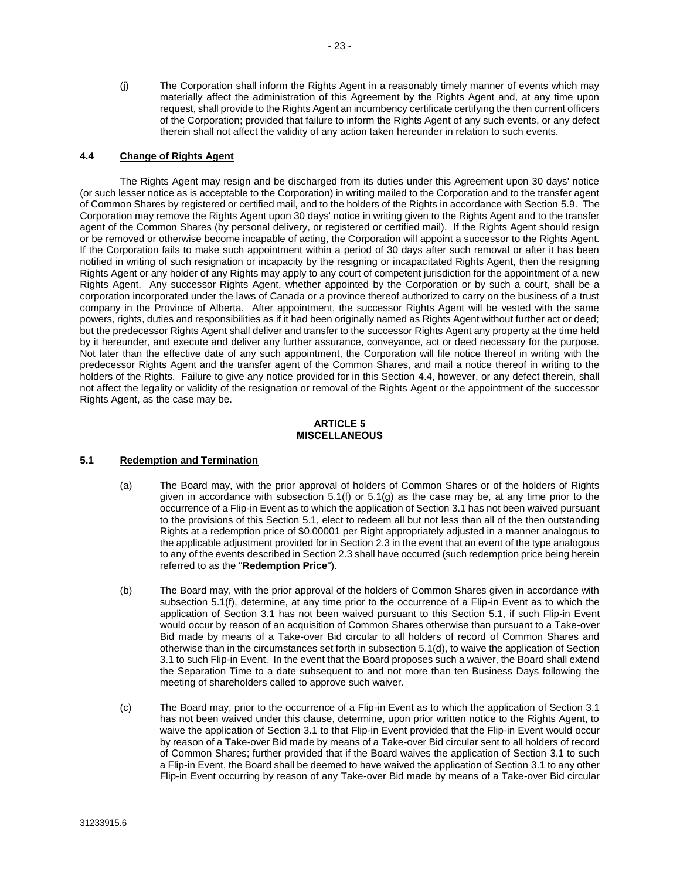(j) The Corporation shall inform the Rights Agent in a reasonably timely manner of events which may materially affect the administration of this Agreement by the Rights Agent and, at any time upon request, shall provide to the Rights Agent an incumbency certificate certifying the then current officers of the Corporation; provided that failure to inform the Rights Agent of any such events, or any defect therein shall not affect the validity of any action taken hereunder in relation to such events.

#### <span id="page-25-4"></span>**4.4 Change of Rights Agent**

The Rights Agent may resign and be discharged from its duties under this Agreement upon 30 days' notice (or such lesser notice as is acceptable to the Corporation) in writing mailed to the Corporation and to the transfer agent of Common Shares by registered or certified mail, and to the holders of the Rights in accordance with Section [5.9.](#page-29-0) The Corporation may remove the Rights Agent upon 30 days' notice in writing given to the Rights Agent and to the transfer agent of the Common Shares (by personal delivery, or registered or certified mail). If the Rights Agent should resign or be removed or otherwise become incapable of acting, the Corporation will appoint a successor to the Rights Agent. If the Corporation fails to make such appointment within a period of 30 days after such removal or after it has been notified in writing of such resignation or incapacity by the resigning or incapacitated Rights Agent, then the resigning Rights Agent or any holder of any Rights may apply to any court of competent jurisdiction for the appointment of a new Rights Agent. Any successor Rights Agent, whether appointed by the Corporation or by such a court, shall be a corporation incorporated under the laws of Canada or a province thereof authorized to carry on the business of a trust company in the Province of Alberta. After appointment, the successor Rights Agent will be vested with the same powers, rights, duties and responsibilities as if it had been originally named as Rights Agent without further act or deed; but the predecessor Rights Agent shall deliver and transfer to the successor Rights Agent any property at the time held by it hereunder, and execute and deliver any further assurance, conveyance, act or deed necessary for the purpose. Not later than the effective date of any such appointment, the Corporation will file notice thereof in writing with the predecessor Rights Agent and the transfer agent of the Common Shares, and mail a notice thereof in writing to the holders of the Rights. Failure to give any notice provided for in this Section [4.4,](#page-25-4) however, or any defect therein, shall not affect the legality or validity of the resignation or removal of the Rights Agent or the appointment of the successor Rights Agent, as the case may be.

#### **ARTICLE 5 MISCELLANEOUS**

#### <span id="page-25-3"></span><span id="page-25-2"></span>**5.1 Redemption and Termination**

- (a) The Board may, with the prior approval of holders of Common Shares or of the holders of Rights given in accordance with subsection  $5.1(f)$  or  $5.1(g)$  as the case may be, at any time prior to the occurrence of a Flip-in Event as to which the application of Section [3.1](#page-21-0) has not been waived pursuant to the provisions of this Section [5.1,](#page-25-3) elect to redeem all but not less than all of the then outstanding Rights at a redemption price of \$0.00001 per Right appropriately adjusted in a manner analogous to the applicable adjustment provided for in Sectio[n 2.3](#page-16-1) in the event that an event of the type analogous to any of the events described in Sectio[n 2.3](#page-16-1) shall have occurred (such redemption price being herein referred to as the "**Redemption Price**").
- <span id="page-25-0"></span>(b) The Board may, with the prior approval of the holders of Common Shares given in accordance with subsection [5.1\(f\),](#page-26-1) determine, at any time prior to the occurrence of a Flip-in Event as to which the application of Section [3.1](#page-21-0) has not been waived pursuant to this Section [5.1,](#page-25-3) if such Flip-in Event would occur by reason of an acquisition of Common Shares otherwise than pursuant to a Take-over Bid made by means of a Take-over Bid circular to all holders of record of Common Shares and otherwise than in the circumstances set forth in subsection [5.1\(d\),](#page-26-0) to waive the application of Section [3.1](#page-21-0) to such Flip-in Event. In the event that the Board proposes such a waiver, the Board shall extend the Separation Time to a date subsequent to and not more than ten Business Days following the meeting of shareholders called to approve such waiver.
- <span id="page-25-1"></span>(c) The Board may, prior to the occurrence of a Flip-in Event as to which the application of Section [3.1](#page-21-0) has not been waived under this clause, determine, upon prior written notice to the Rights Agent, to waive the application of Section [3.1](#page-21-0) to that Flip-in Event provided that the Flip-in Event would occur by reason of a Take-over Bid made by means of a Take-over Bid circular sent to all holders of record of Common Shares; further provided that if the Board waives the application of Section [3.1](#page-21-0) to such a Flip-in Event, the Board shall be deemed to have waived the application of Section [3.1](#page-21-0) to any other Flip-in Event occurring by reason of any Take-over Bid made by means of a Take-over Bid circular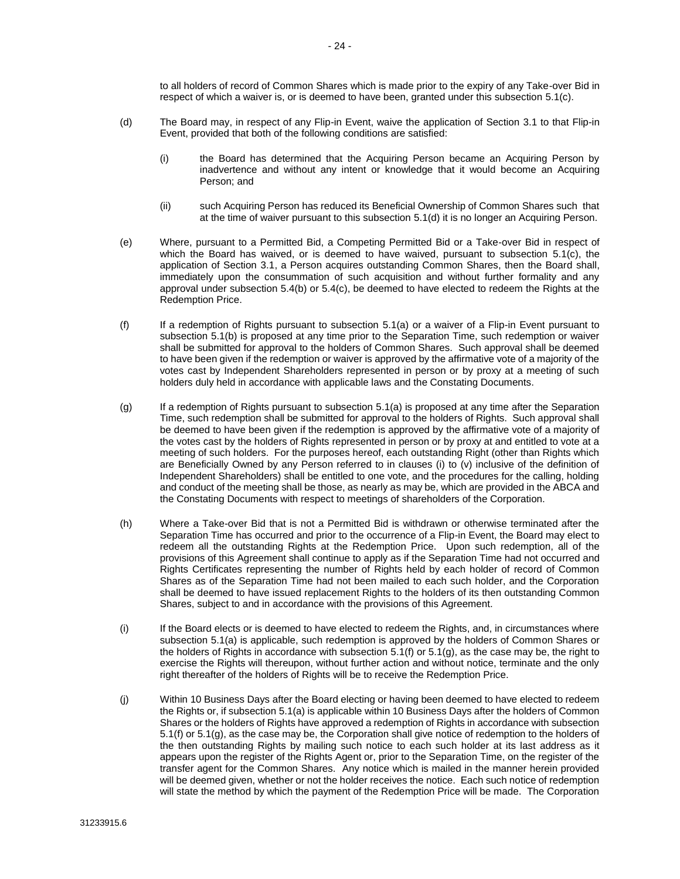to all holders of record of Common Shares which is made prior to the expiry of any Take-over Bid in respect of which a waiver is, or is deemed to have been, granted under this subsection [5.1\(c\).](#page-25-1)

- <span id="page-26-0"></span>(d) The Board may, in respect of any Flip-in Event, waive the application of Section [3.1](#page-21-0) to that Flip-in Event, provided that both of the following conditions are satisfied:
	- (i) the Board has determined that the Acquiring Person became an Acquiring Person by inadvertence and without any intent or knowledge that it would become an Acquiring Person; and
	- (ii) such Acquiring Person has reduced its Beneficial Ownership of Common Shares such that at the time of waiver pursuant to this subsectio[n 5.1\(d\)](#page-26-0) it is no longer an Acquiring Person.
- (e) Where, pursuant to a Permitted Bid, a Competing Permitted Bid or a Take-over Bid in respect of which the Board has waived, or is deemed to have waived, pursuant to subsection [5.1\(c\),](#page-25-1) the application of Section [3.1,](#page-21-0) a Person acquires outstanding Common Shares, then the Board shall, immediately upon the consummation of such acquisition and without further formality and any approval under subsection [5.4\(b\)](#page-27-0) or [5.4\(c\),](#page-27-1) be deemed to have elected to redeem the Rights at the Redemption Price.
- <span id="page-26-1"></span>(f) If a redemption of Rights pursuant to subsection [5.1\(a\)](#page-25-2) or a waiver of a Flip-in Event pursuant to subsection [5.1\(b\)](#page-25-0) is proposed at any time prior to the Separation Time, such redemption or waiver shall be submitted for approval to the holders of Common Shares. Such approval shall be deemed to have been given if the redemption or waiver is approved by the affirmative vote of a majority of the votes cast by Independent Shareholders represented in person or by proxy at a meeting of such holders duly held in accordance with applicable laws and the Constating Documents.
- <span id="page-26-2"></span>(g) If a redemption of Rights pursuant to subsection [5.1\(a\)](#page-25-2) is proposed at any time after the Separation Time, such redemption shall be submitted for approval to the holders of Rights. Such approval shall be deemed to have been given if the redemption is approved by the affirmative vote of a majority of the votes cast by the holders of Rights represented in person or by proxy at and entitled to vote at a meeting of such holders. For the purposes hereof, each outstanding Right (other than Rights which are Beneficially Owned by any Person referred to in clauses (i) to (v) inclusive of the definition of Independent Shareholders) shall be entitled to one vote, and the procedures for the calling, holding and conduct of the meeting shall be those, as nearly as may be, which are provided in the ABCA and the Constating Documents with respect to meetings of shareholders of the Corporation.
- (h) Where a Take-over Bid that is not a Permitted Bid is withdrawn or otherwise terminated after the Separation Time has occurred and prior to the occurrence of a Flip-in Event, the Board may elect to redeem all the outstanding Rights at the Redemption Price. Upon such redemption, all of the provisions of this Agreement shall continue to apply as if the Separation Time had not occurred and Rights Certificates representing the number of Rights held by each holder of record of Common Shares as of the Separation Time had not been mailed to each such holder, and the Corporation shall be deemed to have issued replacement Rights to the holders of its then outstanding Common Shares, subject to and in accordance with the provisions of this Agreement.
- (i) If the Board elects or is deemed to have elected to redeem the Rights, and, in circumstances where subsection [5.1\(a\)](#page-25-3) is applicable, such redemption is approved by the holders of Common Shares or the holders of Rights in accordance with subsection [5.1\(f\)](#page-26-1) or [5.1\(g\),](#page-26-2) as the case may be, the right to exercise the Rights will thereupon, without further action and without notice, terminate and the only right thereafter of the holders of Rights will be to receive the Redemption Price.
- (j) Within 10 Business Days after the Board electing or having been deemed to have elected to redeem the Rights or, if subsection [5.1\(a\)](#page-25-2) is applicable within 10 Business Days after the holders of Common Shares or the holders of Rights have approved a redemption of Rights in accordance with subsection [5.1\(f\)](#page-26-1) o[r 5.1\(g\),](#page-26-2) as the case may be, the Corporation shall give notice of redemption to the holders of the then outstanding Rights by mailing such notice to each such holder at its last address as it appears upon the register of the Rights Agent or, prior to the Separation Time, on the register of the transfer agent for the Common Shares. Any notice which is mailed in the manner herein provided will be deemed given, whether or not the holder receives the notice. Each such notice of redemption will state the method by which the payment of the Redemption Price will be made. The Corporation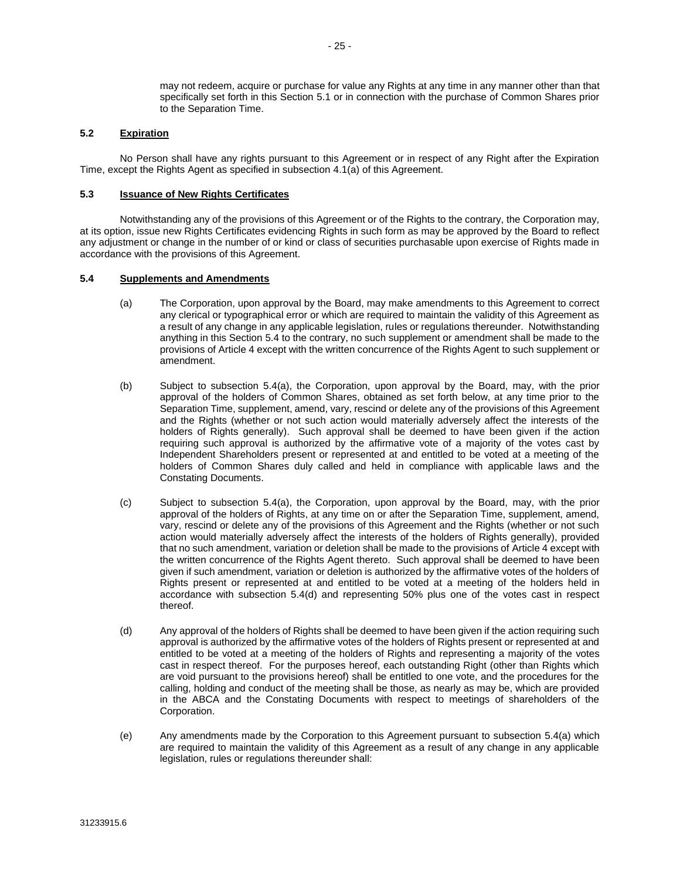may not redeem, acquire or purchase for value any Rights at any time in any manner other than that specifically set forth in this Section [5.1](#page-25-3) or in connection with the purchase of Common Shares prior to the Separation Time.

#### **5.2 Expiration**

No Person shall have any rights pursuant to this Agreement or in respect of any Right after the Expiration Time, except the Rights Agent as specified in subsection [4.1\(a\)](#page-22-0) of this Agreement.

#### <span id="page-27-2"></span>**5.3 Issuance of New Rights Certificates**

Notwithstanding any of the provisions of this Agreement or of the Rights to the contrary, the Corporation may, at its option, issue new Rights Certificates evidencing Rights in such form as may be approved by the Board to reflect any adjustment or change in the number of or kind or class of securities purchasable upon exercise of Rights made in accordance with the provisions of this Agreement.

#### <span id="page-27-4"></span><span id="page-27-3"></span>**5.4 Supplements and Amendments**

- (a) The Corporation, upon approval by the Board, may make amendments to this Agreement to correct any clerical or typographical error or which are required to maintain the validity of this Agreement as a result of any change in any applicable legislation, rules or regulations thereunder. Notwithstanding anything in this Section [5.4](#page-27-3) to the contrary, no such supplement or amendment shall be made to the provisions o[f Article 4](#page-22-3) except with the written concurrence of the Rights Agent to such supplement or amendment.
- <span id="page-27-0"></span>(b) Subject to subsection [5.4\(a\),](#page-27-4) the Corporation, upon approval by the Board, may, with the prior approval of the holders of Common Shares, obtained as set forth below, at any time prior to the Separation Time, supplement, amend, vary, rescind or delete any of the provisions of this Agreement and the Rights (whether or not such action would materially adversely affect the interests of the holders of Rights generally). Such approval shall be deemed to have been given if the action requiring such approval is authorized by the affirmative vote of a majority of the votes cast by Independent Shareholders present or represented at and entitled to be voted at a meeting of the holders of Common Shares duly called and held in compliance with applicable laws and the Constating Documents.
- <span id="page-27-1"></span>(c) Subject to subsection [5.4\(a\),](#page-27-4) the Corporation, upon approval by the Board, may, with the prior approval of the holders of Rights, at any time on or after the Separation Time, supplement, amend, vary, rescind or delete any of the provisions of this Agreement and the Rights (whether or not such action would materially adversely affect the interests of the holders of Rights generally), provided that no such amendment, variation or deletion shall be made to the provisions of [Article 4](#page-22-3) except with the written concurrence of the Rights Agent thereto. Such approval shall be deemed to have been given if such amendment, variation or deletion is authorized by the affirmative votes of the holders of Rights present or represented at and entitled to be voted at a meeting of the holders held in accordance with subsection [5.4\(d\)](#page-27-5) and representing 50% plus one of the votes cast in respect thereof.
- <span id="page-27-5"></span>(d) Any approval of the holders of Rights shall be deemed to have been given if the action requiring such approval is authorized by the affirmative votes of the holders of Rights present or represented at and entitled to be voted at a meeting of the holders of Rights and representing a majority of the votes cast in respect thereof. For the purposes hereof, each outstanding Right (other than Rights which are void pursuant to the provisions hereof) shall be entitled to one vote, and the procedures for the calling, holding and conduct of the meeting shall be those, as nearly as may be, which are provided in the ABCA and the Constating Documents with respect to meetings of shareholders of the Corporation.
- (e) Any amendments made by the Corporation to this Agreement pursuant to subsection [5.4\(a\)](#page-27-4) which are required to maintain the validity of this Agreement as a result of any change in any applicable legislation, rules or regulations thereunder shall: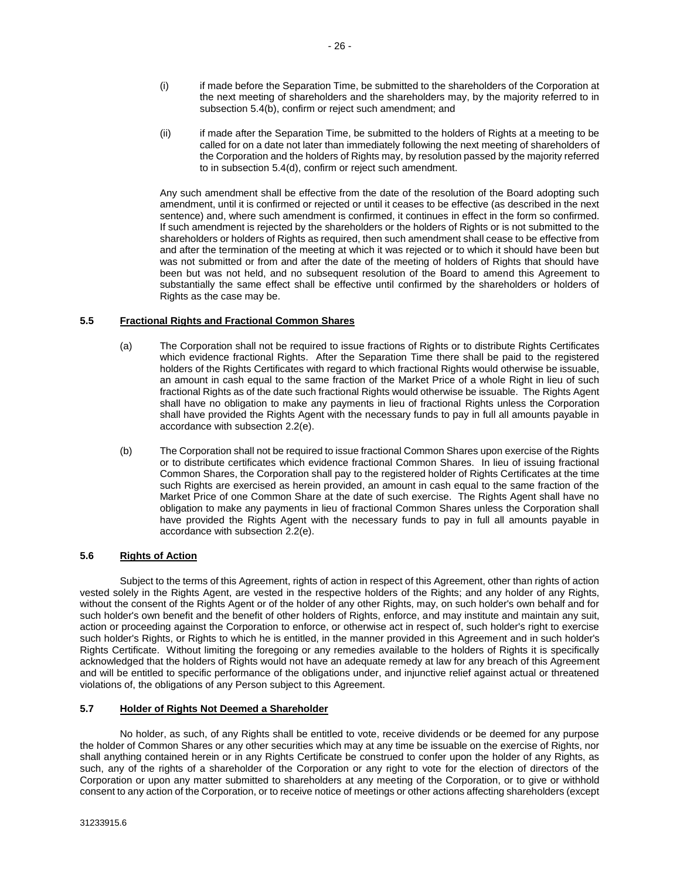- (i) if made before the Separation Time, be submitted to the shareholders of the Corporation at the next meeting of shareholders and the shareholders may, by the majority referred to in subsectio[n 5.4\(b\),](#page-27-0) confirm or reject such amendment; and
- (ii) if made after the Separation Time, be submitted to the holders of Rights at a meeting to be called for on a date not later than immediately following the next meeting of shareholders of the Corporation and the holders of Rights may, by resolution passed by the majority referred to in subsection [5.4\(d\),](#page-27-5) confirm or reject such amendment.

Any such amendment shall be effective from the date of the resolution of the Board adopting such amendment, until it is confirmed or rejected or until it ceases to be effective (as described in the next sentence) and, where such amendment is confirmed, it continues in effect in the form so confirmed. If such amendment is rejected by the shareholders or the holders of Rights or is not submitted to the shareholders or holders of Rights as required, then such amendment shall cease to be effective from and after the termination of the meeting at which it was rejected or to which it should have been but was not submitted or from and after the date of the meeting of holders of Rights that should have been but was not held, and no subsequent resolution of the Board to amend this Agreement to substantially the same effect shall be effective until confirmed by the shareholders or holders of Rights as the case may be.

#### **5.5 Fractional Rights and Fractional Common Shares**

- (a) The Corporation shall not be required to issue fractions of Rights or to distribute Rights Certificates which evidence fractional Rights. After the Separation Time there shall be paid to the registered holders of the Rights Certificates with regard to which fractional Rights would otherwise be issuable, an amount in cash equal to the same fraction of the Market Price of a whole Right in lieu of such fractional Rights as of the date such fractional Rights would otherwise be issuable. The Rights Agent shall have no obligation to make any payments in lieu of fractional Rights unless the Corporation shall have provided the Rights Agent with the necessary funds to pay in full all amounts payable in accordance with subsection [2.2\(e\).](#page-15-2)
- (b) The Corporation shall not be required to issue fractional Common Shares upon exercise of the Rights or to distribute certificates which evidence fractional Common Shares. In lieu of issuing fractional Common Shares, the Corporation shall pay to the registered holder of Rights Certificates at the time such Rights are exercised as herein provided, an amount in cash equal to the same fraction of the Market Price of one Common Share at the date of such exercise. The Rights Agent shall have no obligation to make any payments in lieu of fractional Common Shares unless the Corporation shall have provided the Rights Agent with the necessary funds to pay in full all amounts payable in accordance with subsection [2.2\(e\).](#page-15-2)

#### **5.6 Rights of Action**

Subject to the terms of this Agreement, rights of action in respect of this Agreement, other than rights of action vested solely in the Rights Agent, are vested in the respective holders of the Rights; and any holder of any Rights, without the consent of the Rights Agent or of the holder of any other Rights, may, on such holder's own behalf and for such holder's own benefit and the benefit of other holders of Rights, enforce, and may institute and maintain any suit, action or proceeding against the Corporation to enforce, or otherwise act in respect of, such holder's right to exercise such holder's Rights, or Rights to which he is entitled, in the manner provided in this Agreement and in such holder's Rights Certificate. Without limiting the foregoing or any remedies available to the holders of Rights it is specifically acknowledged that the holders of Rights would not have an adequate remedy at law for any breach of this Agreement and will be entitled to specific performance of the obligations under, and injunctive relief against actual or threatened violations of, the obligations of any Person subject to this Agreement.

#### **5.7 Holder of Rights Not Deemed a Shareholder**

No holder, as such, of any Rights shall be entitled to vote, receive dividends or be deemed for any purpose the holder of Common Shares or any other securities which may at any time be issuable on the exercise of Rights, nor shall anything contained herein or in any Rights Certificate be construed to confer upon the holder of any Rights, as such, any of the rights of a shareholder of the Corporation or any right to vote for the election of directors of the Corporation or upon any matter submitted to shareholders at any meeting of the Corporation, or to give or withhold consent to any action of the Corporation, or to receive notice of meetings or other actions affecting shareholders (except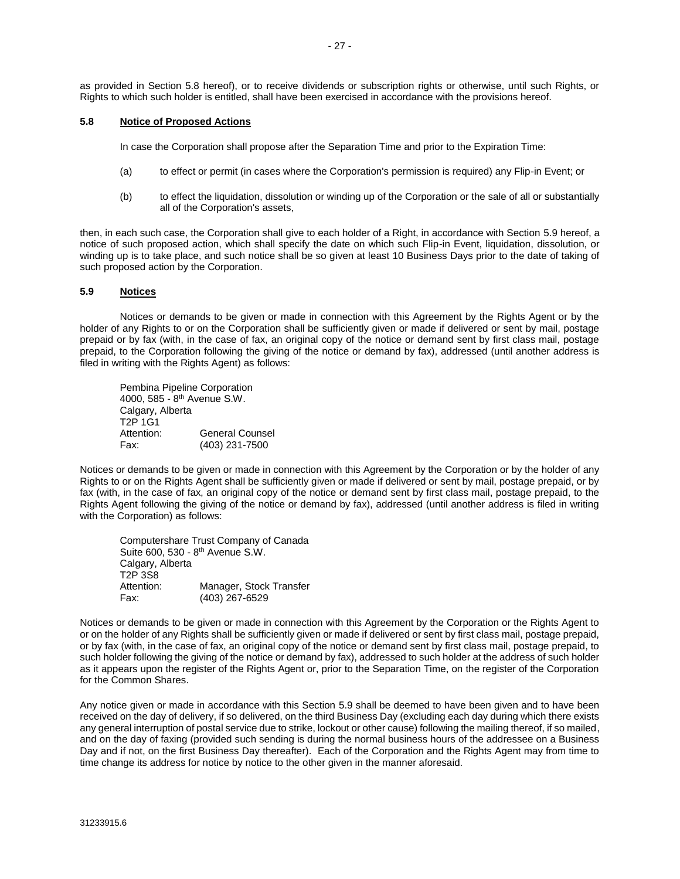as provided in Section [5.8](#page-29-1) hereof), or to receive dividends or subscription rights or otherwise, until such Rights, or Rights to which such holder is entitled, shall have been exercised in accordance with the provisions hereof.

#### <span id="page-29-1"></span>**5.8 Notice of Proposed Actions**

In case the Corporation shall propose after the Separation Time and prior to the Expiration Time:

- (a) to effect or permit (in cases where the Corporation's permission is required) any Flip-in Event; or
- (b) to effect the liquidation, dissolution or winding up of the Corporation or the sale of all or substantially all of the Corporation's assets,

then, in each such case, the Corporation shall give to each holder of a Right, in accordance with Section [5.9](#page-29-0) hereof, a notice of such proposed action, which shall specify the date on which such Flip-in Event, liquidation, dissolution, or winding up is to take place, and such notice shall be so given at least 10 Business Days prior to the date of taking of such proposed action by the Corporation.

#### <span id="page-29-0"></span>**5.9 Notices**

Notices or demands to be given or made in connection with this Agreement by the Rights Agent or by the holder of any Rights to or on the Corporation shall be sufficiently given or made if delivered or sent by mail, postage prepaid or by fax (with, in the case of fax, an original copy of the notice or demand sent by first class mail, postage prepaid, to the Corporation following the giving of the notice or demand by fax), addressed (until another address is filed in writing with the Rights Agent) as follows:

Pembina Pipeline Corporation 4000, 585 - 8<sup>th</sup> Avenue S.W. Calgary, Alberta T2P 1G1 Attention: General Counsel Fax: (403) 231-7500

Notices or demands to be given or made in connection with this Agreement by the Corporation or by the holder of any Rights to or on the Rights Agent shall be sufficiently given or made if delivered or sent by mail, postage prepaid, or by fax (with, in the case of fax, an original copy of the notice or demand sent by first class mail, postage prepaid, to the Rights Agent following the giving of the notice or demand by fax), addressed (until another address is filed in writing with the Corporation) as follows:

Computershare Trust Company of Canada Suite 600, 530 - 8<sup>th</sup> Avenue S.W. Calgary, Alberta T2P 3S8 Attention: Manager, Stock Transfer Fax: (403) 267-6529

Notices or demands to be given or made in connection with this Agreement by the Corporation or the Rights Agent to or on the holder of any Rights shall be sufficiently given or made if delivered or sent by first class mail, postage prepaid, or by fax (with, in the case of fax, an original copy of the notice or demand sent by first class mail, postage prepaid, to such holder following the giving of the notice or demand by fax), addressed to such holder at the address of such holder as it appears upon the register of the Rights Agent or, prior to the Separation Time, on the register of the Corporation for the Common Shares.

Any notice given or made in accordance with this Section [5.9](#page-29-0) shall be deemed to have been given and to have been received on the day of delivery, if so delivered, on the third Business Day (excluding each day during which there exists any general interruption of postal service due to strike, lockout or other cause) following the mailing thereof, if so mailed, and on the day of faxing (provided such sending is during the normal business hours of the addressee on a Business Day and if not, on the first Business Day thereafter). Each of the Corporation and the Rights Agent may from time to time change its address for notice by notice to the other given in the manner aforesaid.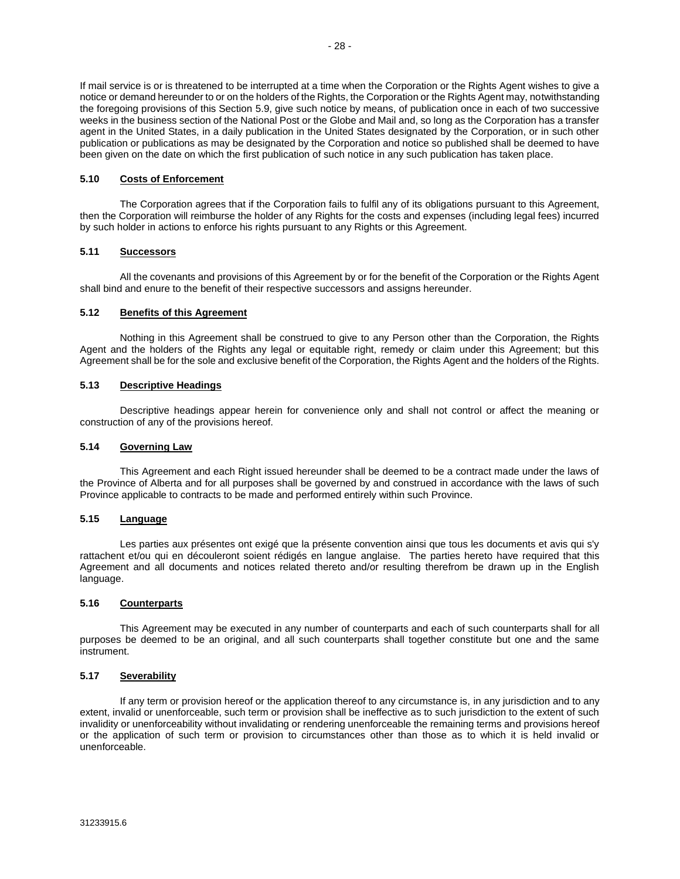If mail service is or is threatened to be interrupted at a time when the Corporation or the Rights Agent wishes to give a notice or demand hereunder to or on the holders of the Rights, the Corporation or the Rights Agent may, notwithstanding the foregoing provisions of this Section [5.9,](#page-29-0) give such notice by means, of publication once in each of two successive weeks in the business section of the National Post or the Globe and Mail and, so long as the Corporation has a transfer agent in the United States, in a daily publication in the United States designated by the Corporation, or in such other publication or publications as may be designated by the Corporation and notice so published shall be deemed to have been given on the date on which the first publication of such notice in any such publication has taken place.

#### **5.10 Costs of Enforcement**

The Corporation agrees that if the Corporation fails to fulfil any of its obligations pursuant to this Agreement, then the Corporation will reimburse the holder of any Rights for the costs and expenses (including legal fees) incurred by such holder in actions to enforce his rights pursuant to any Rights or this Agreement.

#### **5.11 Successors**

All the covenants and provisions of this Agreement by or for the benefit of the Corporation or the Rights Agent shall bind and enure to the benefit of their respective successors and assigns hereunder.

#### **5.12 Benefits of this Agreement**

Nothing in this Agreement shall be construed to give to any Person other than the Corporation, the Rights Agent and the holders of the Rights any legal or equitable right, remedy or claim under this Agreement; but this Agreement shall be for the sole and exclusive benefit of the Corporation, the Rights Agent and the holders of the Rights.

#### **5.13 Descriptive Headings**

Descriptive headings appear herein for convenience only and shall not control or affect the meaning or construction of any of the provisions hereof.

#### **5.14 Governing Law**

This Agreement and each Right issued hereunder shall be deemed to be a contract made under the laws of the Province of Alberta and for all purposes shall be governed by and construed in accordance with the laws of such Province applicable to contracts to be made and performed entirely within such Province.

#### **5.15 Language**

Les parties aux présentes ont exigé que la présente convention ainsi que tous les documents et avis qui s'y rattachent et/ou qui en découleront soient rédigés en langue anglaise. The parties hereto have required that this Agreement and all documents and notices related thereto and/or resulting therefrom be drawn up in the English language.

#### **5.16 Counterparts**

This Agreement may be executed in any number of counterparts and each of such counterparts shall for all purposes be deemed to be an original, and all such counterparts shall together constitute but one and the same instrument.

#### **5.17 Severability**

If any term or provision hereof or the application thereof to any circumstance is, in any jurisdiction and to any extent, invalid or unenforceable, such term or provision shall be ineffective as to such jurisdiction to the extent of such invalidity or unenforceability without invalidating or rendering unenforceable the remaining terms and provisions hereof or the application of such term or provision to circumstances other than those as to which it is held invalid or unenforceable.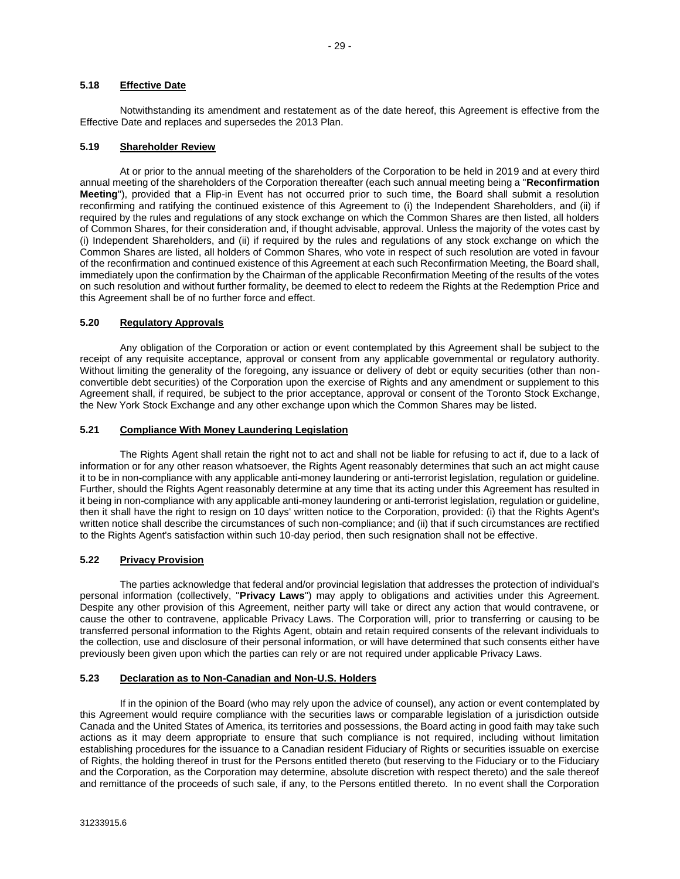#### **5.18 Effective Date**

Notwithstanding its amendment and restatement as of the date hereof, this Agreement is effective from the Effective Date and replaces and supersedes the 2013 Plan.

#### <span id="page-31-0"></span>**5.19 Shareholder Review**

At or prior to the annual meeting of the shareholders of the Corporation to be held in 2019 and at every third annual meeting of the shareholders of the Corporation thereafter (each such annual meeting being a "**Reconfirmation Meeting**"), provided that a Flip-in Event has not occurred prior to such time, the Board shall submit a resolution reconfirming and ratifying the continued existence of this Agreement to (i) the Independent Shareholders, and (ii) if required by the rules and regulations of any stock exchange on which the Common Shares are then listed, all holders of Common Shares, for their consideration and, if thought advisable, approval. Unless the majority of the votes cast by (i) Independent Shareholders, and (ii) if required by the rules and regulations of any stock exchange on which the Common Shares are listed, all holders of Common Shares, who vote in respect of such resolution are voted in favour of the reconfirmation and continued existence of this Agreement at each such Reconfirmation Meeting, the Board shall, immediately upon the confirmation by the Chairman of the applicable Reconfirmation Meeting of the results of the votes on such resolution and without further formality, be deemed to elect to redeem the Rights at the Redemption Price and this Agreement shall be of no further force and effect.

#### **5.20 Regulatory Approvals**

Any obligation of the Corporation or action or event contemplated by this Agreement shall be subject to the receipt of any requisite acceptance, approval or consent from any applicable governmental or regulatory authority. Without limiting the generality of the foregoing, any issuance or delivery of debt or equity securities (other than nonconvertible debt securities) of the Corporation upon the exercise of Rights and any amendment or supplement to this Agreement shall, if required, be subject to the prior acceptance, approval or consent of the Toronto Stock Exchange, the New York Stock Exchange and any other exchange upon which the Common Shares may be listed.

#### **5.21 Compliance With Money Laundering Legislation**

The Rights Agent shall retain the right not to act and shall not be liable for refusing to act if, due to a lack of information or for any other reason whatsoever, the Rights Agent reasonably determines that such an act might cause it to be in non-compliance with any applicable anti-money laundering or anti-terrorist legislation, regulation or guideline. Further, should the Rights Agent reasonably determine at any time that its acting under this Agreement has resulted in it being in non-compliance with any applicable anti-money laundering or anti-terrorist legislation, regulation or guideline, then it shall have the right to resign on 10 days' written notice to the Corporation, provided: (i) that the Rights Agent's written notice shall describe the circumstances of such non-compliance; and (ii) that if such circumstances are rectified to the Rights Agent's satisfaction within such 10-day period, then such resignation shall not be effective.

#### **5.22 Privacy Provision**

The parties acknowledge that federal and/or provincial legislation that addresses the protection of individual's personal information (collectively, "**Privacy Laws**") may apply to obligations and activities under this Agreement. Despite any other provision of this Agreement, neither party will take or direct any action that would contravene, or cause the other to contravene, applicable Privacy Laws. The Corporation will, prior to transferring or causing to be transferred personal information to the Rights Agent, obtain and retain required consents of the relevant individuals to the collection, use and disclosure of their personal information, or will have determined that such consents either have previously been given upon which the parties can rely or are not required under applicable Privacy Laws.

#### **5.23 Declaration as to Non-Canadian and Non-U.S. Holders**

If in the opinion of the Board (who may rely upon the advice of counsel), any action or event contemplated by this Agreement would require compliance with the securities laws or comparable legislation of a jurisdiction outside Canada and the United States of America, its territories and possessions, the Board acting in good faith may take such actions as it may deem appropriate to ensure that such compliance is not required, including without limitation establishing procedures for the issuance to a Canadian resident Fiduciary of Rights or securities issuable on exercise of Rights, the holding thereof in trust for the Persons entitled thereto (but reserving to the Fiduciary or to the Fiduciary and the Corporation, as the Corporation may determine, absolute discretion with respect thereto) and the sale thereof and remittance of the proceeds of such sale, if any, to the Persons entitled thereto. In no event shall the Corporation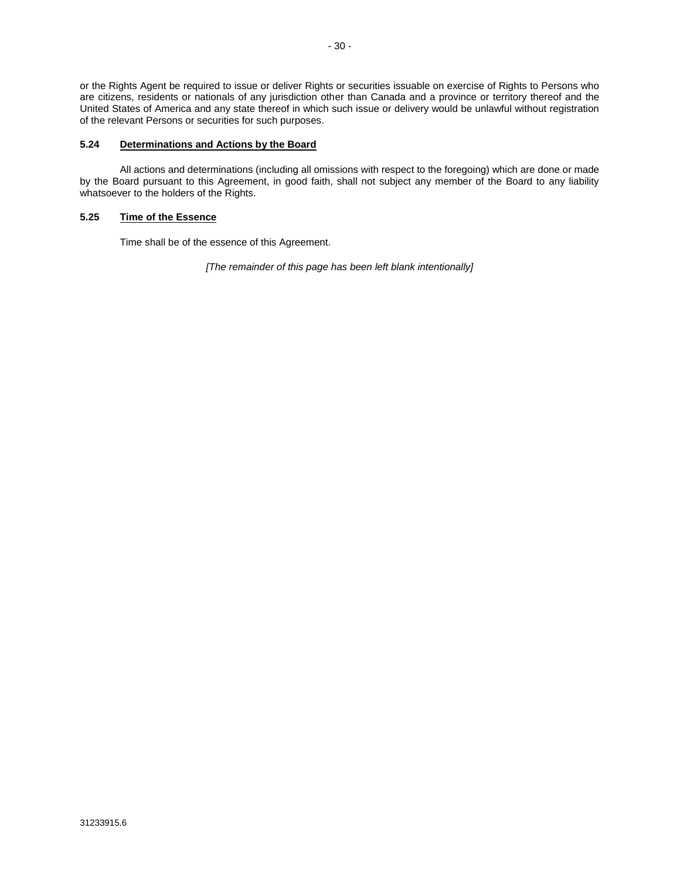or the Rights Agent be required to issue or deliver Rights or securities issuable on exercise of Rights to Persons who are citizens, residents or nationals of any jurisdiction other than Canada and a province or territory thereof and the United States of America and any state thereof in which such issue or delivery would be unlawful without registration of the relevant Persons or securities for such purposes.

#### **5.24 Determinations and Actions by the Board**

All actions and determinations (including all omissions with respect to the foregoing) which are done or made by the Board pursuant to this Agreement, in good faith, shall not subject any member of the Board to any liability whatsoever to the holders of the Rights.

#### **5.25 Time of the Essence**

Time shall be of the essence of this Agreement.

*[The remainder of this page has been left blank intentionally]*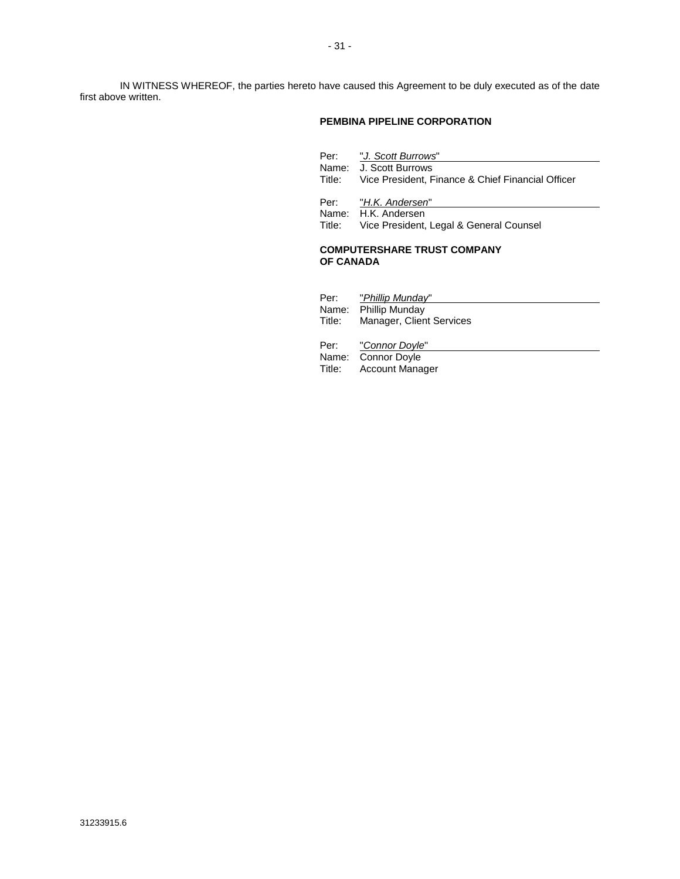IN WITNESS WHEREOF, the parties hereto have caused this Agreement to be duly executed as of the date first above written.

#### **PEMBINA PIPELINE CORPORATION**

|        | Per: "J. Scott Burrows"<br>Name: J. Scott Burrows<br>Title: Vice President, Finance & Chief Financial Officer |
|--------|---------------------------------------------------------------------------------------------------------------|
| Title: | Per: "H.K. Andersen"<br>Name: H.K. Andersen<br>Vice President, Legal & General Counsel                        |

#### **COMPUTERSHARE TRUST COMPANY OF CANADA**

|        | Per: "Phillip Munday"    |
|--------|--------------------------|
|        | Name: Phillip Munday     |
| Title: | Manager, Client Services |
|        |                          |
|        | Per: "Connor Doyle"      |
|        | Name: Connor Doyle       |
|        | Title: Account Manager   |
|        |                          |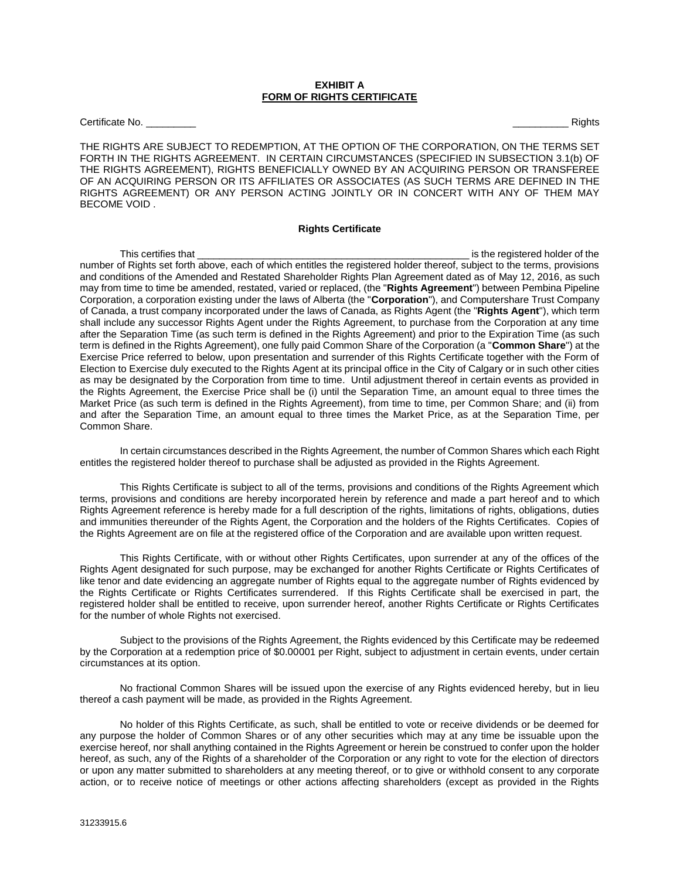#### **EXHIBIT A FORM OF RIGHTS CERTIFICATE**

Certificate No. \_\_\_\_\_\_\_\_\_ \_\_\_\_\_\_\_\_\_\_ Rights

THE RIGHTS ARE SUBJECT TO REDEMPTION, AT THE OPTION OF THE CORPORATION, ON THE TERMS SET FORTH IN THE RIGHTS AGREEMENT. IN CERTAIN CIRCUMSTANCES (SPECIFIED IN SUBSECTION 3.1(b) OF THE RIGHTS AGREEMENT), RIGHTS BENEFICIALLY OWNED BY AN ACQUIRING PERSON OR TRANSFEREE OF AN ACQUIRING PERSON OR ITS AFFILIATES OR ASSOCIATES (AS SUCH TERMS ARE DEFINED IN THE RIGHTS AGREEMENT) OR ANY PERSON ACTING JOINTLY OR IN CONCERT WITH ANY OF THEM MAY BECOME VOID .

#### **Rights Certificate**

This certifies that **The Example 2012** is the registered holder of the number of Rights set forth above, each of which entitles the registered holder thereof, subject to the terms, provisions and conditions of the Amended and Restated Shareholder Rights Plan Agreement dated as of May 12, 2016, as such may from time to time be amended, restated, varied or replaced, (the "**Rights Agreement**") between Pembina Pipeline Corporation, a corporation existing under the laws of Alberta (the "**Corporation**"), and Computershare Trust Company of Canada, a trust company incorporated under the laws of Canada, as Rights Agent (the "**Rights Agent**"), which term shall include any successor Rights Agent under the Rights Agreement, to purchase from the Corporation at any time after the Separation Time (as such term is defined in the Rights Agreement) and prior to the Expiration Time (as such term is defined in the Rights Agreement), one fully paid Common Share of the Corporation (a "**Common Share**") at the Exercise Price referred to below, upon presentation and surrender of this Rights Certificate together with the Form of Election to Exercise duly executed to the Rights Agent at its principal office in the City of Calgary or in such other cities as may be designated by the Corporation from time to time. Until adjustment thereof in certain events as provided in the Rights Agreement, the Exercise Price shall be (i) until the Separation Time, an amount equal to three times the Market Price (as such term is defined in the Rights Agreement), from time to time, per Common Share; and (ii) from and after the Separation Time, an amount equal to three times the Market Price, as at the Separation Time, per Common Share.

In certain circumstances described in the Rights Agreement, the number of Common Shares which each Right entitles the registered holder thereof to purchase shall be adjusted as provided in the Rights Agreement.

This Rights Certificate is subject to all of the terms, provisions and conditions of the Rights Agreement which terms, provisions and conditions are hereby incorporated herein by reference and made a part hereof and to which Rights Agreement reference is hereby made for a full description of the rights, limitations of rights, obligations, duties and immunities thereunder of the Rights Agent, the Corporation and the holders of the Rights Certificates. Copies of the Rights Agreement are on file at the registered office of the Corporation and are available upon written request.

This Rights Certificate, with or without other Rights Certificates, upon surrender at any of the offices of the Rights Agent designated for such purpose, may be exchanged for another Rights Certificate or Rights Certificates of like tenor and date evidencing an aggregate number of Rights equal to the aggregate number of Rights evidenced by the Rights Certificate or Rights Certificates surrendered. If this Rights Certificate shall be exercised in part, the registered holder shall be entitled to receive, upon surrender hereof, another Rights Certificate or Rights Certificates for the number of whole Rights not exercised.

Subject to the provisions of the Rights Agreement, the Rights evidenced by this Certificate may be redeemed by the Corporation at a redemption price of \$0.00001 per Right, subject to adjustment in certain events, under certain circumstances at its option.

No fractional Common Shares will be issued upon the exercise of any Rights evidenced hereby, but in lieu thereof a cash payment will be made, as provided in the Rights Agreement.

No holder of this Rights Certificate, as such, shall be entitled to vote or receive dividends or be deemed for any purpose the holder of Common Shares or of any other securities which may at any time be issuable upon the exercise hereof, nor shall anything contained in the Rights Agreement or herein be construed to confer upon the holder hereof, as such, any of the Rights of a shareholder of the Corporation or any right to vote for the election of directors or upon any matter submitted to shareholders at any meeting thereof, or to give or withhold consent to any corporate action, or to receive notice of meetings or other actions affecting shareholders (except as provided in the Rights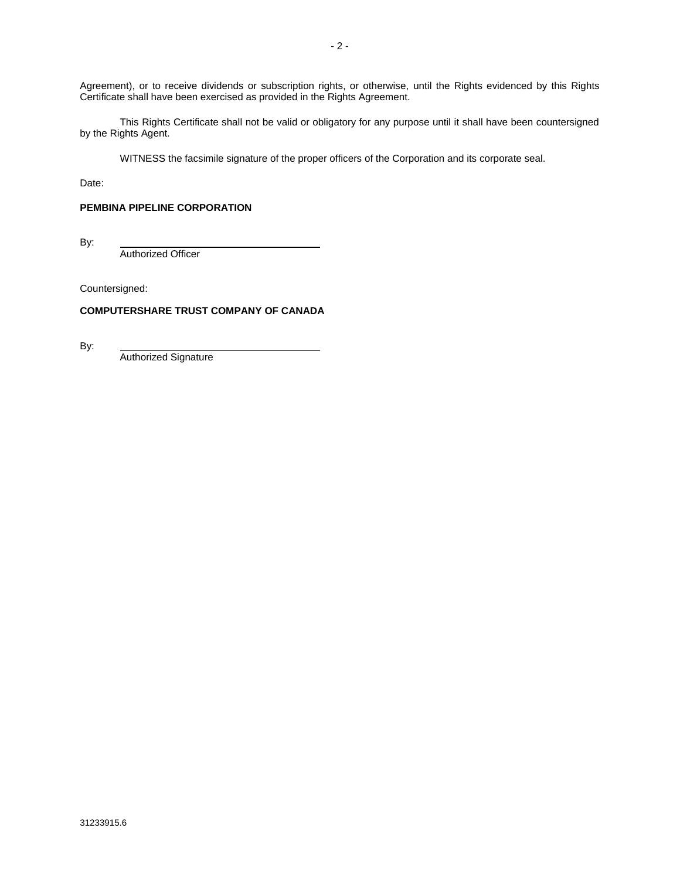Agreement), or to receive dividends or subscription rights, or otherwise, until the Rights evidenced by this Rights Certificate shall have been exercised as provided in the Rights Agreement.

This Rights Certificate shall not be valid or obligatory for any purpose until it shall have been countersigned by the Rights Agent.

WITNESS the facsimile signature of the proper officers of the Corporation and its corporate seal.

Date:

### **PEMBINA PIPELINE CORPORATION**

By:

Authorized Officer

Countersigned:

#### **COMPUTERSHARE TRUST COMPANY OF CANADA**

By:

Authorized Signature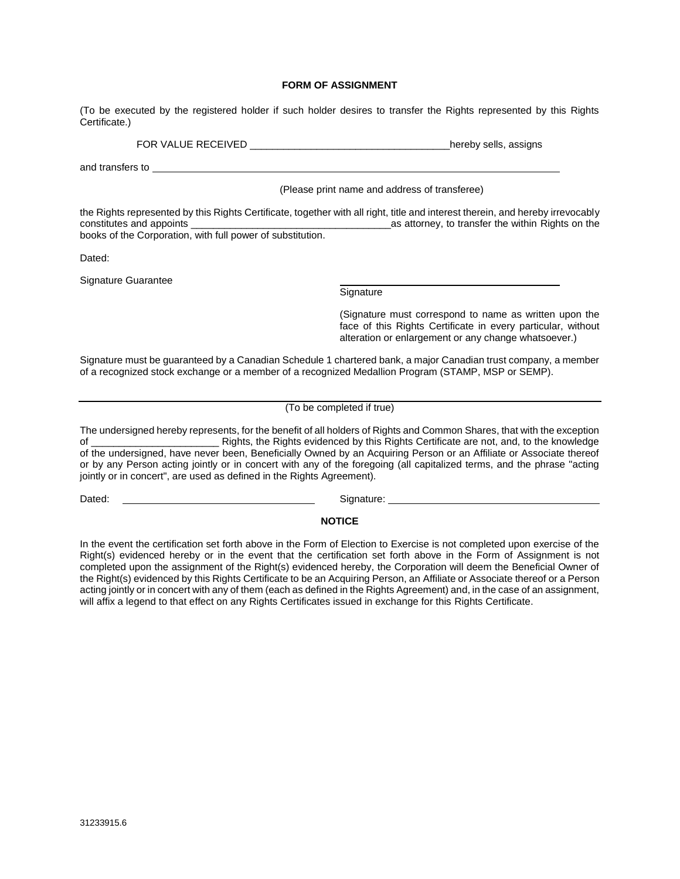#### **FORM OF ASSIGNMENT**

(To be executed by the registered holder if such holder desires to transfer the Rights represented by this Rights Certificate.)

FOR VALUE RECEIVED \_\_\_\_\_\_\_\_\_\_\_\_\_\_\_\_\_\_\_\_\_\_\_\_\_\_\_\_\_\_\_\_\_\_\_hereby sells, assigns

and transfers to

(Please print name and address of transferee)

the Rights represented by this Rights Certificate, together with all right, title and interest therein, and hereby irrevocably<br>as attorney, to transfer the within Rights on the component as attorney, to transfer the within Rights on the books of the Corporation, with full power of substitution.

Dated:

Signature Guarantee

**Signature** 

(Signature must correspond to name as written upon the face of this Rights Certificate in every particular, without alteration or enlargement or any change whatsoever.)

Signature must be guaranteed by a Canadian Schedule 1 chartered bank, a major Canadian trust company, a member of a recognized stock exchange or a member of a recognized Medallion Program (STAMP, MSP or SEMP).

#### (To be completed if true)

The undersigned hereby represents, for the benefit of all holders of Rights and Common Shares, that with the exception of \_\_\_\_\_\_\_\_\_\_\_\_\_\_\_\_\_\_\_\_\_\_\_ Rights, the Rights evidenced by this Rights Certificate are not, and, to the knowledge of the undersigned, have never been, Beneficially Owned by an Acquiring Person or an Affiliate or Associate thereof or by any Person acting jointly or in concert with any of the foregoing (all capitalized terms, and the phrase "acting jointly or in concert", are used as defined in the Rights Agreement).

Dated: Signature: Signature: Signature: Signature: Signature: Signature: Signature: Signature: Signature: Signature: Signature: Signature: Signature: Signature: Signature: Signature: Signature: Signature: Signature: Signat

#### **NOTICE**

In the event the certification set forth above in the Form of Election to Exercise is not completed upon exercise of the Right(s) evidenced hereby or in the event that the certification set forth above in the Form of Assignment is not completed upon the assignment of the Right(s) evidenced hereby, the Corporation will deem the Beneficial Owner of the Right(s) evidenced by this Rights Certificate to be an Acquiring Person, an Affiliate or Associate thereof or a Person acting jointly or in concert with any of them (each as defined in the Rights Agreement) and, in the case of an assignment, will affix a legend to that effect on any Rights Certificates issued in exchange for this Rights Certificate.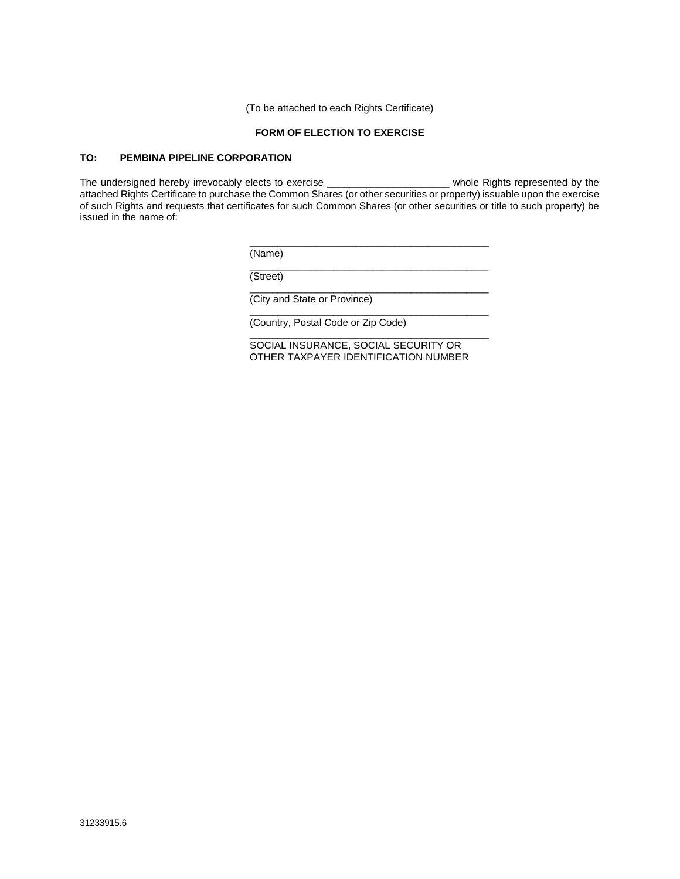(To be attached to each Rights Certificate)

#### **FORM OF ELECTION TO EXERCISE**

#### **TO: PEMBINA PIPELINE CORPORATION**

The undersigned hereby irrevocably elects to exercise \_\_\_\_\_\_\_\_\_\_\_\_\_\_\_\_\_\_\_\_\_\_\_\_\_ whole Rights represented by the attached Rights Certificate to purchase the Common Shares (or other securities or property) issuable upon the exercise of such Rights and requests that certificates for such Common Shares (or other securities or title to such property) be issued in the name of:

> \_\_\_\_\_\_\_\_\_\_\_\_\_\_\_\_\_\_\_\_\_\_\_\_\_\_\_\_\_\_\_\_\_\_\_\_\_\_\_\_\_\_\_ (Name)

> \_\_\_\_\_\_\_\_\_\_\_\_\_\_\_\_\_\_\_\_\_\_\_\_\_\_\_\_\_\_\_\_\_\_\_\_\_\_\_\_\_\_\_ (Street)

> \_\_\_\_\_\_\_\_\_\_\_\_\_\_\_\_\_\_\_\_\_\_\_\_\_\_\_\_\_\_\_\_\_\_\_\_\_\_\_\_\_\_\_ (City and State or Province)

(Country, Postal Code or Zip Code)

SOCIAL INSURANCE, SOCIAL SECURITY OR OTHER TAXPAYER IDENTIFICATION NUMBER

\_\_\_\_\_\_\_\_\_\_\_\_\_\_\_\_\_\_\_\_\_\_\_\_\_\_\_\_\_\_\_\_\_\_\_\_\_\_\_\_\_\_\_

\_\_\_\_\_\_\_\_\_\_\_\_\_\_\_\_\_\_\_\_\_\_\_\_\_\_\_\_\_\_\_\_\_\_\_\_\_\_\_\_\_\_\_